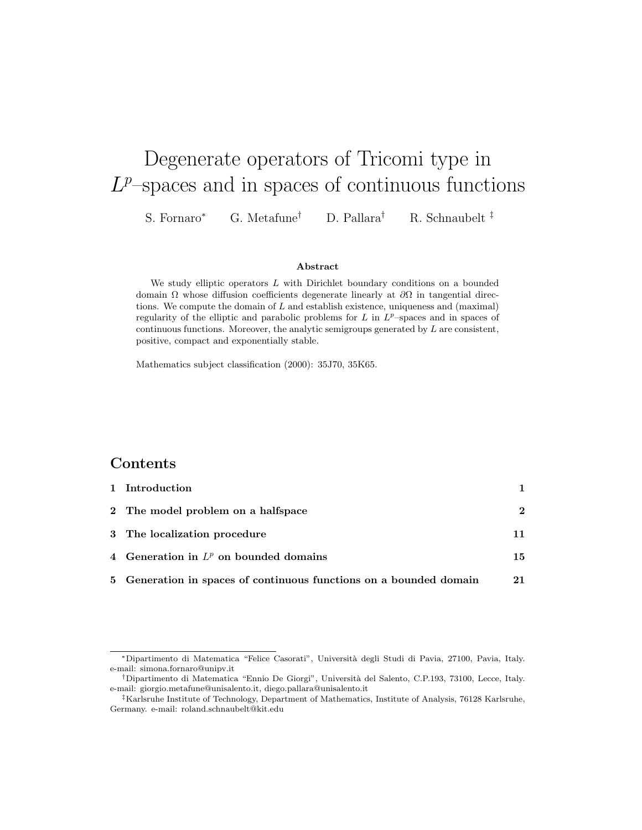# Degenerate operators of Tricomi type in  $L^p$ -spaces and in spaces of continuous functions

S. Fornaro<sup>∗</sup> G. Metafune† D. Pallara† R. Schnaubelt ‡

#### Abstract

We study elliptic operators L with Dirichlet boundary conditions on a bounded domain  $\Omega$  whose diffusion coefficients degenerate linearly at  $\partial\Omega$  in tangential directions. We compute the domain of  $L$  and establish existence, uniqueness and (maximal) regularity of the elliptic and parabolic problems for  $L$  in  $L^p$ -spaces and in spaces of continuous functions. Moreover, the analytic semigroups generated by  $L$  are consistent, positive, compact and exponentially stable.

Mathematics subject classification (2000): 35J70, 35K65.

### Contents

| 1 Introduction                                                     |              |
|--------------------------------------------------------------------|--------------|
| 2 The model problem on a halfspace                                 | $\mathbf{2}$ |
| 3 The localization procedure                                       |              |
| 4 Generation in $L^p$ on bounded domains                           | 15           |
| 5 Generation in spaces of continuous functions on a bounded domain | 21           |

<sup>∗</sup>Dipartimento di Matematica "Felice Casorati", Universit`a degli Studi di Pavia, 27100, Pavia, Italy. e-mail: simona.fornaro@unipv.it

<sup>†</sup>Dipartimento di Matematica "Ennio De Giorgi", Universit`a del Salento, C.P.193, 73100, Lecce, Italy. e-mail: giorgio.metafune@unisalento.it, diego.pallara@unisalento.it

<sup>‡</sup>Karlsruhe Institute of Technology, Department of Mathematics, Institute of Analysis, 76128 Karlsruhe, Germany. e-mail: roland.schnaubelt@kit.edu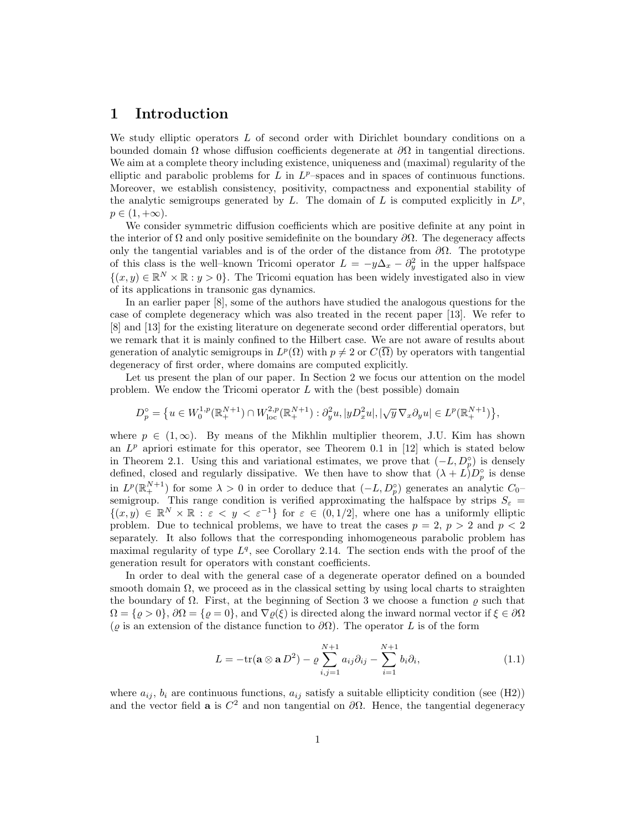#### 1 Introduction

We study elliptic operators L of second order with Dirichlet boundary conditions on a bounded domain  $\Omega$  whose diffusion coefficients degenerate at  $\partial\Omega$  in tangential directions. We aim at a complete theory including existence, uniqueness and (maximal) regularity of the elliptic and parabolic problems for  $L$  in  $L^p$ -spaces and in spaces of continuous functions. Moreover, we establish consistency, positivity, compactness and exponential stability of the analytic semigroups generated by  $L$ . The domain of  $L$  is computed explicitly in  $L^p$ ,  $p \in (1, +\infty).$ 

We consider symmetric diffusion coefficients which are positive definite at any point in the interior of  $\Omega$  and only positive semidefinite on the boundary  $\partial\Omega$ . The degeneracy affects only the tangential variables and is of the order of the distance from  $\partial\Omega$ . The prototype of this class is the well–known Tricomi operator  $L = -y\Delta_x - \partial_y^2$  in the upper halfspace  $\{(x, y) \in \mathbb{R}^N \times \mathbb{R} : y > 0\}$ . The Tricomi equation has been widely investigated also in view of its applications in transonic gas dynamics.

In an earlier paper [8], some of the authors have studied the analogous questions for the case of complete degeneracy which was also treated in the recent paper [13]. We refer to [8] and [13] for the existing literature on degenerate second order differential operators, but we remark that it is mainly confined to the Hilbert case. We are not aware of results about generation of analytic semigroups in  $L^p(\Omega)$  with  $p \neq 2$  or  $C(\overline{\Omega})$  by operators with tangential degeneracy of first order, where domains are computed explicitly.

Let us present the plan of our paper. In Section 2 we focus our attention on the model problem. We endow the Tricomi operator  $L$  with the (best possible) domain

$$
D_p^{\circ}=\big\{u\in W_0^{1,p}(\mathbb{R}_{+}^{N+1})\cap W_{\rm loc}^{2,p}(\mathbb{R}_{+}^{N+1}): \partial_y^2u, |yD_x^2u|, |\sqrt{y}\,\nabla_x\partial_yu|\in L^p(\mathbb{R}_{+}^{N+1})\big\},
$$

where  $p \in (1,\infty)$ . By means of the Mikhlin multiplier theorem, J.U. Kim has shown an  $L^p$  apriori estimate for this operator, see Theorem 0.1 in [12] which is stated below in Theorem 2.1. Using this and variational estimates, we prove that  $(-L, D_p^{\circ})$  is densely defined, closed and regularly dissipative. We then have to show that  $(\lambda + L)D_p^{\circ}$  is dense in  $L^p(\mathbb{R}^{N+1}_+)$  for some  $\lambda > 0$  in order to deduce that  $(-L, D_p^{\circ})$  generates an analytic  $C_0$ semigroup. This range condition is verified approximating the halfspace by strips  $S_{\varepsilon}$  =  $\{(x,y)\in\mathbb{R}^N\times\mathbb{R}: \varepsilon< y<\varepsilon^{-1}\}\text{ for }\varepsilon\in(0,1/2],\text{ where one has a uniformly elliptic }\varepsilon\leq 0.$ problem. Due to technical problems, we have to treat the cases  $p = 2$ ,  $p > 2$  and  $p < 2$ separately. It also follows that the corresponding inhomogeneous parabolic problem has maximal regularity of type  $L<sup>q</sup>$ , see Corollary 2.14. The section ends with the proof of the generation result for operators with constant coefficients.

In order to deal with the general case of a degenerate operator defined on a bounded smooth domain  $\Omega$ , we proceed as in the classical setting by using local charts to straighten the boundary of  $\Omega$ . First, at the beginning of Section 3 we choose a function  $\rho$  such that  $\Omega = \{ \varrho > 0 \}, \partial \Omega = \{ \varrho = 0 \}, \text{ and } \nabla \varrho(\xi)$  is directed along the inward normal vector if  $\xi \in \partial \Omega$ ( $\varrho$  is an extension of the distance function to  $\partial\Omega$ ). The operator L is of the form

$$
L = -\text{tr}(\mathbf{a} \otimes \mathbf{a} D^2) - \varrho \sum_{i,j=1}^{N+1} a_{ij} \partial_{ij} - \sum_{i=1}^{N+1} b_i \partial_i,
$$
 (1.1)

where  $a_{ij}$ ,  $b_i$  are continuous functions,  $a_{ij}$  satisfy a suitable ellipticity condition (see (H2)) and the vector field **a** is  $C^2$  and non tangential on  $\partial\Omega$ . Hence, the tangential degeneracy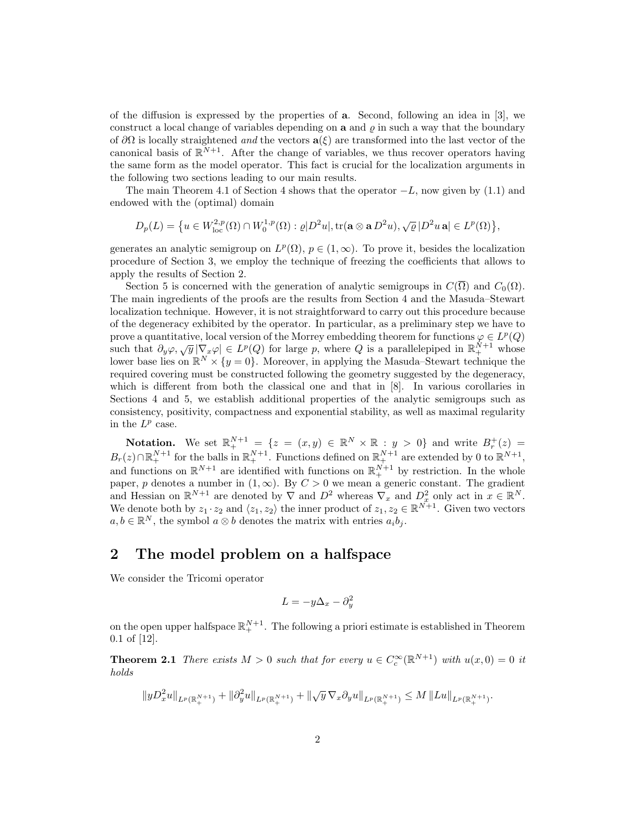of the diffusion is expressed by the properties of a. Second, following an idea in [3], we construct a local change of variables depending on  $a$  and  $\rho$  in such a way that the boundary of  $\partial\Omega$  is locally straightened and the vectors  $\mathbf{a}(\xi)$  are transformed into the last vector of the canonical basis of  $\mathbb{R}^{N+1}$ . After the change of variables, we thus recover operators having the same form as the model operator. This fact is crucial for the localization arguments in the following two sections leading to our main results.

The main Theorem 4.1 of Section 4 shows that the operator  $-L$ , now given by (1.1) and endowed with the (optimal) domain

$$
D_p(L) = \big\{u \in W^{2,p}_{\rm loc}(\Omega)\cap W^{1,p}_0(\Omega): \varrho |D^2u|, {\rm tr}({\bf a} \otimes {\bf a} \, D^2u), \sqrt{\varrho}\,|D^2u\,{\bf a}| \in L^p(\Omega)\big\},
$$

generates an analytic semigroup on  $L^p(\Omega)$ ,  $p \in (1,\infty)$ . To prove it, besides the localization procedure of Section 3, we employ the technique of freezing the coefficients that allows to apply the results of Section 2.

Section 5 is concerned with the generation of analytic semigroups in  $C(\overline{\Omega})$  and  $C_0(\Omega)$ . The main ingredients of the proofs are the results from Section 4 and the Masuda–Stewart localization technique. However, it is not straightforward to carry out this procedure because of the degeneracy exhibited by the operator. In particular, as a preliminary step we have to prove a quantitative, local version of the Morrey embedding theorem for functions  $\varphi \in L^p(Q)$ such that  $\partial_y \varphi$ ,  $\sqrt{y} |\nabla_x \varphi| \in L^p(Q)$  for large p, where Q is a parallelepiped in  $\mathbb{R}^{N+1}_+$  whose lower base lies on  $\mathbb{R}^N \times \{y=0\}$ . Moreover, in applying the Masuda–Stewart technique the required covering must be constructed following the geometry suggested by the degeneracy, which is different from both the classical one and that in [8]. In various corollaries in Sections 4 and 5, we establish additional properties of the analytic semigroups such as consistency, positivity, compactness and exponential stability, as well as maximal regularity in the  $L^p$  case.

Notation. We set  $\mathbb{R}^{N+1}_+ = \{z = (x, y) \in \mathbb{R}^N \times \mathbb{R} : y > 0\}$  and write  $B_r^+(z) =$  $B_r(z) \cap \mathbb{R}^{N+1}_+$  for the balls in  $\mathbb{R}^{N+1}_+$ . Functions defined on  $\mathbb{R}^{N+1}_+$  are extended by 0 to  $\mathbb{R}^{N+1}$ , and functions on  $\mathbb{R}^{N+1}$  are identified with functions on  $\mathbb{R}^{N+1}_+$  by restriction. In the whole paper, p denotes a number in  $(1, \infty)$ . By  $C > 0$  we mean a generic constant. The gradient and Hessian on  $\mathbb{R}^{N+1}$  are denoted by  $\nabla$  and  $D^2$  whereas  $\nabla_x$  and  $D_x^2$  only act in  $x \in \mathbb{R}^N$ . We denote both by  $z_1 \cdot z_2$  and  $\langle z_1, z_2 \rangle$  the inner product of  $z_1, z_2 \in \mathbb{R}^{N+1}$ . Given two vectors  $a, b \in \mathbb{R}^N$ , the symbol  $a \otimes b$  denotes the matrix with entries  $a_i b_j$ .

### 2 The model problem on a halfspace

We consider the Tricomi operator

$$
L = -y\Delta_x - \partial_y^2
$$

on the open upper halfspace  $\mathbb{R}^{N+1}_+$ . The following a priori estimate is established in Theorem 0.1 of [12].

**Theorem 2.1** There exists  $M > 0$  such that for every  $u \in C_c^{\infty}(\mathbb{R}^{N+1})$  with  $u(x, 0) = 0$  it holds

$$
||yD_x^2u||_{L^p(\mathbb{R}^{N+1}_+)}+||\partial_y^2u||_{L^p(\mathbb{R}^{N+1}_+)}+||\sqrt{y}\nabla_x\partial_yu||_{L^p(\mathbb{R}^{N+1}_+)}\leq M||Lu||_{L^p(\mathbb{R}^{N+1}_+)}.
$$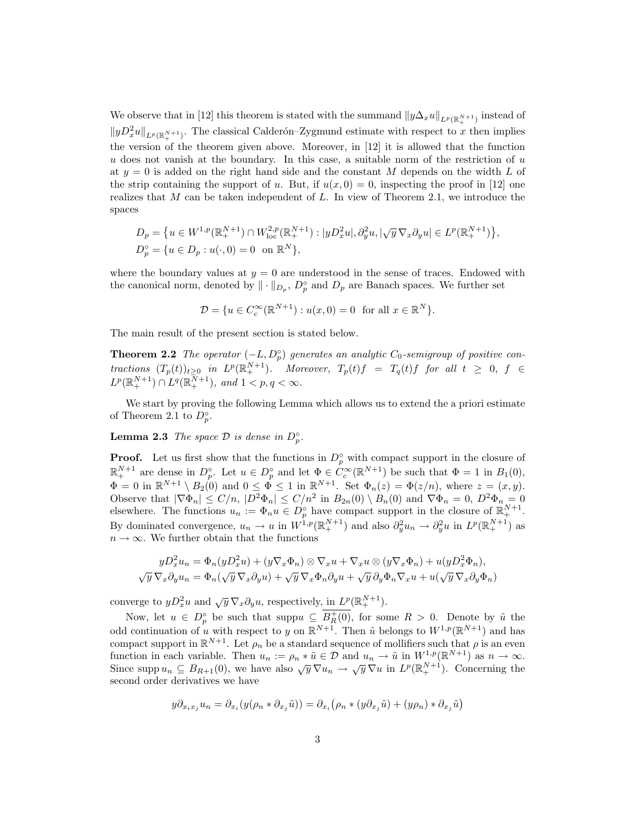We observe that in [12] this theorem is stated with the summand  $||y\Delta_x u||_{L^p(\mathbb{R}^{N+1}_+)}$  instead of  $||yD_x^2u||_{L^p(\mathbb{R}^{N+1}_+)}$ . The classical Calderón–Zygmund estimate with respect to x then implies the version of the theorem given above. Moreover, in [12] it is allowed that the function u does not vanish at the boundary. In this case, a suitable norm of the restriction of  $u$ at  $y = 0$  is added on the right hand side and the constant M depends on the width L of the strip containing the support of u. But, if  $u(x, 0) = 0$ , inspecting the proof in [12] one realizes that M can be taken independent of L. In view of Theorem 2.1, we introduce the spaces

$$
D_p = \{ u \in W^{1,p}(\mathbb{R}_+^{N+1}) \cap W^{2,p}_{loc}(\mathbb{R}_+^{N+1}) : |yD_x^2u|, \partial_y^2u, |\sqrt{y} \nabla_x \partial_y u| \in L^p(\mathbb{R}_+^{N+1}) \},
$$
  

$$
D_p^{\circ} = \{ u \in D_p : u(\cdot, 0) = 0 \text{ on } \mathbb{R}^N \},
$$

where the boundary values at  $y = 0$  are understood in the sense of traces. Endowed with the canonical norm, denoted by  $\|\cdot\|_{D_p}$ ,  $D_p^{\circ}$  and  $D_p$  are Banach spaces. We further set

$$
\mathcal{D} = \{ u \in C_c^{\infty}(\mathbb{R}^{N+1}) : u(x,0) = 0 \text{ for all } x \in \mathbb{R}^N \}.
$$

The main result of the present section is stated below.

**Theorem 2.2** The operator  $(-L, D_p^{\circ})$  generates an analytic  $C_0$ -semigroup of positive contractions  $(T_p(t))_{t\geq 0}$  in  $L^p(\mathbb{R}^{N+1}_+)$ . Moreover,  $T_p(t)f = T_q(t)f$  for all  $t \geq 0, f \in$  $L^p(\mathbb{R}^{N+1}_+) \cap L^q(\mathbb{R}^{N+1}_+)$ , and  $1 < p, q < \infty$ .

We start by proving the following Lemma which allows us to extend the a priori estimate of Theorem 2.1 to  $D_p^{\circ}$ .

**Lemma 2.3** The space  $\mathcal{D}$  is dense in  $D_p^{\circ}$ .

**Proof.** Let us first show that the functions in  $D_p^{\circ}$  with compact support in the closure of  $\mathbb{R}^{N+1}_+$  are dense in  $D_p^{\circ}$ . Let  $u \in D_p^{\circ}$  and let  $\Phi \in C_c^{\infty}(\mathbb{R}^{N+1})$  be such that  $\Phi = 1$  in  $B_1(0)$ ,  $\Phi = 0$  in  $\mathbb{R}^{N+1} \setminus B_2(0)$  and  $0 \le \Phi \le 1$  in  $\mathbb{R}^{N+1}$ . Set  $\Phi_n(z) = \Phi(z/n)$ , where  $z = (x, y)$ . Observe that  $|\nabla \Phi_n| \le C/n$ ,  $|D^2 \Phi_n| \le C/n^2$  in  $B_{2n}(0) \setminus B_n(0)$  and  $\nabla \Phi_n = 0$ ,  $D^2 \Phi_n = 0$ elsewhere. The functions  $u_n := \Phi_n u \in D_p^{\circ}$  have compact support in the closure of  $\mathbb{R}^{N+1}_+$ . By dominated convergence,  $u_n \to u$  in  $W^{1,p}(\mathbb{R}^{N+1}_+)$  and also  $\partial_y^2 u_n \to \partial_y^2 u$  in  $L^p(\mathbb{R}^{N+1}_+)$  as  $n \to \infty.$  We further obtain that the functions

$$
yD_x^2u_n = \Phi_n(yD_x^2u) + (y\nabla_x\Phi_n) \otimes \nabla_x u + \nabla_x u \otimes (y\nabla_x\Phi_n) + u(yD_x^2\Phi_n),
$$
  

$$
\sqrt{y}\nabla_x\partial_y u_n = \Phi_n(\sqrt{y}\nabla_x\partial_y u) + \sqrt{y}\nabla_x\Phi_n\partial_y u + \sqrt{y}\partial_y\Phi_n\nabla_x u + u(\sqrt{y}\nabla_x\partial_y\Phi_n)
$$

converge to  $yD_x^2u$  and  $\sqrt{y}\nabla_x\partial_yu$ , respectively, in  $L^p(\mathbb{R}^{N+1}_+)$ .

Now, let  $u \in D_p^{\circ}$  be such that supp $u \subseteq B_R^+(0)$ , for some  $R > 0$ . Denote by  $\tilde{u}$  the odd continuation of u with respect to y on  $\mathbb{R}^{N+1}$ . Then  $\tilde{u}$  belongs to  $W^{1,p}(\mathbb{R}^{N+1})$  and has compact support in  $\mathbb{R}^{N+1}$ . Let  $\rho_n$  be a standard sequence of mollifiers such that  $\rho$  is an even function in each variable. Then  $u_n := \rho_n * \tilde{u} \in \mathcal{D}$  and  $u_n \to \tilde{u}$  in  $W^{1,p}(\mathbb{R}^{N+1})$  as  $n \to \infty$ .<br>Since supp  $u_n \subseteq B_{R+1}(0)$ , we have also  $\sqrt{y} \nabla u_n \to \sqrt{y} \nabla u$  in  $L^p(\mathbb{R}^{N+1}_+)$ . Concerning the second order derivatives we have

$$
y\partial_{x_ix_j}u_n=\partial_{x_i}(y(\rho_n*\partial_{x_j}\tilde{u}))=\partial_{x_i}(\rho_n*(y\partial_{x_j}\tilde{u})+(y\rho_n)*\partial_{x_j}\tilde{u})
$$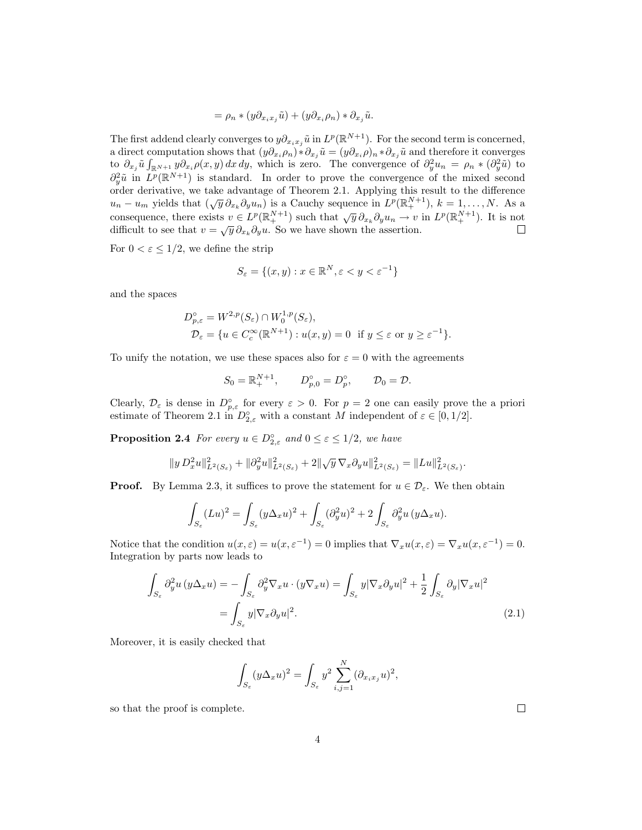$$
= \rho_n * (y \partial_{x_i x_j} \tilde{u}) + (y \partial_{x_i} \rho_n) * \partial_{x_j} \tilde{u}.
$$

The first addend clearly converges to  $y\partial_{x_ix_j}\tilde{u}$  in  $L^p(\mathbb{R}^{N+1})$ . For the second term is concerned, a direct computation shows that  $(y\partial_{x_i}\rho_n)*\partial_{x_j}\tilde{u}=(y\partial_{x_i}\rho)_n*\partial_{x_j}\tilde{u}$  and therefore it converges to  $\partial_{x_j}\tilde{u}\int_{\mathbb{R}^{N+1}}y\partial_{x_i}\rho(x,y)\,dx\,dy$ , which is zero. The convergence of  $\partial_y^2u_n = \rho_n * (\partial_y^2\tilde{u})$  to  $\partial_y^2\tilde{u}$  in  $L^p(\mathbb{R}^{N+1})$  is standard. In order to prove the convergence of the mixed second order derivative, we take advantage of Theorem 2.1. Applying this result to the difference order derivative, we take advantage of Theorem 2.1. Applying this result to the difference  $u_n - u_m$  yields that  $(\sqrt{y} \partial_{x_k} \partial_y u_n)$  is a Cauchy sequence in  $L^p(\mathbb{R}^{N+1}_+)$ ,  $k = 1, ..., N$ . As a consequence, there exists  $v \in L^p(\mathbb{R}^{N+1}_+)$  such that  $\sqrt{y} \partial_{x_k} \partial_y u_n \to v$  in  $L^p(\mathbb{R}^{N+1}_+)$ . It is not difficult to see that  $v = \sqrt{y} \partial_{x_k} \partial_y u$ . So we have shown the assertion.

For  $0 < \varepsilon \leq 1/2$ , we define the strip

$$
S_{\varepsilon} = \{(x, y) : x \in \mathbb{R}^N, \varepsilon < y < \varepsilon^{-1}\}
$$

and the spaces

$$
D_{p,\varepsilon}^{\circ} = W^{2,p}(S_{\varepsilon}) \cap W_0^{1,p}(S_{\varepsilon}),
$$
  

$$
\mathcal{D}_{\varepsilon} = \{ u \in C_c^{\infty}(\mathbb{R}^{N+1}) : u(x,y) = 0 \text{ if } y \le \varepsilon \text{ or } y \ge \varepsilon^{-1} \}.
$$

To unify the notation, we use these spaces also for  $\varepsilon = 0$  with the agreements

$$
S_0 = \mathbb{R}^{N+1}_+, \qquad D_{p,0}^{\circ} = D_p^{\circ}, \qquad \mathcal{D}_0 = \mathcal{D}.
$$

Clearly,  $\mathcal{D}_{\varepsilon}$  is dense in  $D_{p,\varepsilon}^{\circ}$  for every  $\varepsilon > 0$ . For  $p = 2$  one can easily prove the a priori estimate of Theorem 2.1 in  $D_{2,\varepsilon}^{\circ}$  with a constant M independent of  $\varepsilon \in [0,1/2]$ .

**Proposition 2.4** For every  $u \in D_{2,\varepsilon}^{\circ}$  and  $0 \leq \varepsilon \leq 1/2$ , we have

$$
\|y\,D^2_x u\|^2_{L^2(S_\varepsilon)}+\|\partial^2_y u\|^2_{L^2(S_\varepsilon)}+2\|\sqrt{y}\,\nabla_x\partial_y u\|^2_{L^2(S_\varepsilon)}=\|Lu\|^2_{L^2(S_\varepsilon)}.
$$

**Proof.** By Lemma 2.3, it suffices to prove the statement for  $u \in \mathcal{D}_{\varepsilon}$ . We then obtain

$$
\int_{S_{\varepsilon}} (Lu)^2 = \int_{S_{\varepsilon}} (y\Delta_x u)^2 + \int_{S_{\varepsilon}} (\partial_y^2 u)^2 + 2 \int_{S_{\varepsilon}} \partial_y^2 u (y\Delta_x u).
$$

Notice that the condition  $u(x,\varepsilon) = u(x,\varepsilon^{-1}) = 0$  implies that  $\nabla_x u(x,\varepsilon) = \nabla_x u(x,\varepsilon^{-1}) = 0$ . Integration by parts now leads to

$$
\int_{S_{\varepsilon}} \partial_y^2 u(y \Delta_x u) = -\int_{S_{\varepsilon}} \partial_y^2 \nabla_x u \cdot (y \nabla_x u) = \int_{S_{\varepsilon}} y |\nabla_x \partial_y u|^2 + \frac{1}{2} \int_{S_{\varepsilon}} \partial_y |\nabla_x u|^2
$$
\n
$$
= \int_{S_{\varepsilon}} y |\nabla_x \partial_y u|^2. \tag{2.1}
$$

Moreover, it is easily checked that

$$
\int_{S_{\varepsilon}} (y \Delta_x u)^2 = \int_{S_{\varepsilon}} y^2 \sum_{i,j=1}^N (\partial_{x_i x_j} u)^2,
$$

so that the proof is complete.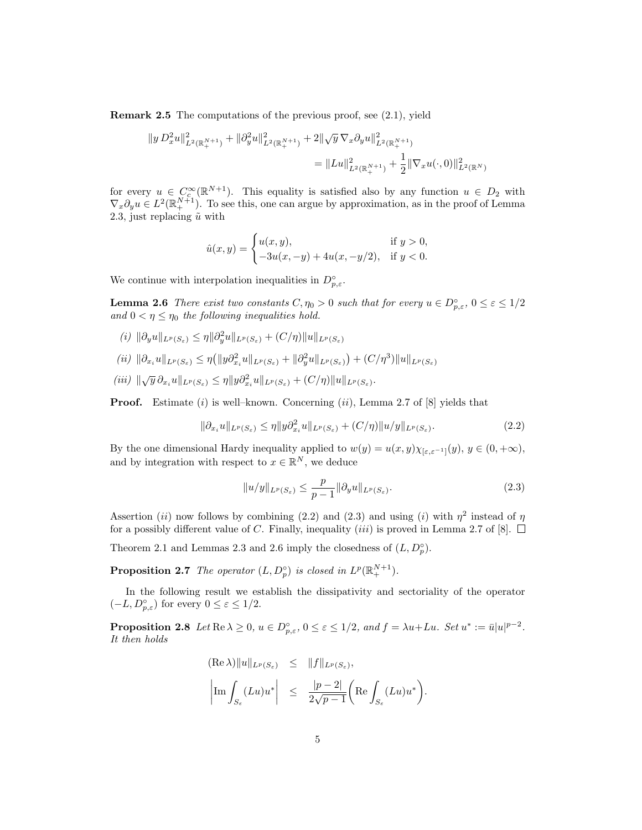Remark 2.5 The computations of the previous proof, see (2.1), yield

$$
||y D_x^2 u||_{L^2(\mathbb{R}^{N+1}_+)}^2 + ||\partial_y^2 u||_{L^2(\mathbb{R}^{N+1}_+)}^2 + 2||\sqrt{y} \nabla_x \partial_y u||_{L^2(\mathbb{R}^{N+1}_+)}^2
$$
  
=  $||Lu||_{L^2(\mathbb{R}^{N+1}_+)}^2 + \frac{1}{2}||\nabla_x u(\cdot,0)||_{L^2(\mathbb{R}^N)}^2$ 

for every  $u \in C_c^{\infty}(\mathbb{R}^{N+1})$ . This equality is satisfied also by any function  $u \in D_2$  with  $\nabla_x \partial_y u \in L^2(\mathbb{R}^{N+1}_+)$ . To see this, one can argue by approximation, as in the proof of Lemma 2.3, just replacing  $\tilde{u}$  with

$$
\hat{u}(x,y) = \begin{cases} u(x,y), & \text{if } y > 0, \\ -3u(x,-y) + 4u(x,-y/2), & \text{if } y < 0. \end{cases}
$$

We continue with interpolation inequalities in  $D_{p,\varepsilon}^{\circ}$ .

**Lemma 2.6** There exist two constants  $C, \eta_0 > 0$  such that for every  $u \in D_{p,\varepsilon}^{\circ}$ ,  $0 \leq \varepsilon \leq 1/2$ and  $0 < \eta \leq \eta_0$  the following inequalities hold.

- $(i)$   $\|\partial_y u\|_{L^p(S_\varepsilon)} \leq \eta \|\partial_y^2 u\|_{L^p(S_\varepsilon)} + (C/\eta) \|u\|_{L^p(S_\varepsilon)}$
- $(iii)$   $\|\partial_{x_i}u\|_{L^p(S_{\varepsilon})} \leq \eta (||y\partial_{x_i}^2u||_{L^p(S_{\varepsilon})} + ||\partial_y^2u||_{L^p(S_{\varepsilon})}) + (C/\eta^3)||u||_{L^p(S_{\varepsilon})}$
- (iii)  $\|\sqrt{y} \partial_{x_i} u\|_{L^p(S_{\varepsilon})} \leq \eta \|y \partial_{x_i}^2 u\|_{L^p(S_{\varepsilon})} + (C/\eta) \|u\|_{L^p(S_{\varepsilon})}.$

**Proof.** Estimate  $(i)$  is well–known. Concerning  $(ii)$ , Lemma 2.7 of  $[8]$  yields that

$$
\|\partial_{x_i} u\|_{L^p(S_{\varepsilon})} \le \eta \|y \partial_{x_i}^2 u\|_{L^p(S_{\varepsilon})} + (C/\eta) \|u/y\|_{L^p(S_{\varepsilon})}.
$$
\n(2.2)

By the one dimensional Hardy inequality applied to  $w(y) = u(x, y)\chi_{[\varepsilon, \varepsilon^{-1}]}(y), y \in (0, +\infty)$ , and by integration with respect to  $x \in \mathbb{R}^N$ , we deduce

$$
||u/y||_{L^{p}(S_{\varepsilon})} \leq \frac{p}{p-1} ||\partial_y u||_{L^{p}(S_{\varepsilon})}.
$$
\n(2.3)

.

Assertion (ii) now follows by combining (2.2) and (2.3) and using (i) with  $\eta^2$  instead of  $\eta$ for a possibly different value of C. Finally, inequality *(iii)* is proved in Lemma 2.7 of [8].  $\Box$ 

Theorem 2.1 and Lemmas 2.3 and 2.6 imply the closedness of  $(L, D_p^{\circ})$ .

**Proposition 2.7** The operator  $(L, D_p^{\circ})$  is closed in  $L^p(\mathbb{R}^{N+1}_+)$ .

In the following result we establish the dissipativity and sectoriality of the operator  $(-L, D_{p,\varepsilon}^{\circ})$  for every  $0 \leq \varepsilon \leq 1/2$ .

**Proposition 2.8** Let  $\text{Re }\lambda \geq 0$ ,  $u \in D_{p,\varepsilon}^{\circ}$ ,  $0 \leq \varepsilon \leq 1/2$ , and  $f = \lambda u + Lu$ . Set  $u^* := \bar{u}|u|^{p-2}$ . It then holds

$$
\left\|\operatorname{Re}\lambda\right\| \|u\|_{L^p(S_\varepsilon)} \leq \|f\|_{L^p(S_\varepsilon)},
$$
  

$$
\left|\operatorname{Im}\int_{S_\varepsilon} (Lu)u^*\right| \leq \frac{|p-2|}{2\sqrt{p-1}} \left(\operatorname{Re}\int_{S_\varepsilon} (Lu)u^*\right)
$$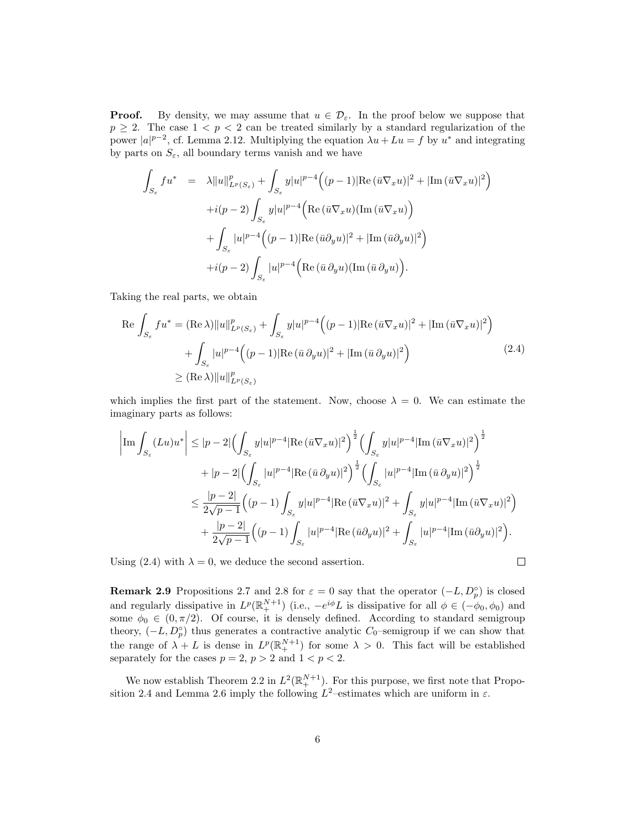**Proof.** By density, we may assume that  $u \in \mathcal{D}_{\varepsilon}$ . In the proof below we suppose that  $p \geq 2$ . The case  $1 < p < 2$  can be treated similarly by a standard regularization of the power  $|a|^{p-2}$ , cf. Lemma 2.12. Multiplying the equation  $\lambda u + Lu = f$  by  $u^*$  and integrating by parts on  $S_{\varepsilon}$ , all boundary terms vanish and we have

$$
\int_{S_{\varepsilon}} f u^* = \lambda \|u\|_{L^p(S_{\varepsilon})}^p + \int_{S_{\varepsilon}} y |u|^{p-4} \Big( (p-1) |\text{Re}(\overline{u} \nabla_x u)|^2 + |\text{Im}(\overline{u} \nabla_x u)|^2 \Big) \n+ i(p-2) \int_{S_{\varepsilon}} y |u|^{p-4} \Big( \text{Re}(\overline{u} \nabla_x u)(\text{Im}(\overline{u} \nabla_x u)) + \int_{S_{\varepsilon}} |u|^{p-4} \Big( (p-1) |\text{Re}(\overline{u} \partial_y u)|^2 + |\text{Im}(\overline{u} \partial_y u)|^2 \Big) \n+ i(p-2) \int_{S_{\varepsilon}} |u|^{p-4} \Big( \text{Re}(\overline{u} \partial_y u)(\text{Im}(\overline{u} \partial_y u)) \Big).
$$

Taking the real parts, we obtain

$$
\operatorname{Re} \int_{S_{\varepsilon}} f u^* = (\operatorname{Re} \lambda) \|u\|_{L^p(S_{\varepsilon})}^p + \int_{S_{\varepsilon}} y |u|^{p-4} \Big( (p-1) |\operatorname{Re} \left( \bar{u} \nabla_x u \right)|^2 + |\operatorname{Im} \left( \bar{u} \nabla_x u \right)|^2 \Big) + \int_{S_{\varepsilon}} |u|^{p-4} \Big( (p-1) |\operatorname{Re} \left( \bar{u} \, \partial_y u \right)|^2 + |\operatorname{Im} \left( \bar{u} \, \partial_y u \right)|^2 \Big) \geq (\operatorname{Re} \lambda) \|u\|_{L^p(S_{\varepsilon})}^p
$$
\n(2.4)

which implies the first part of the statement. Now, choose  $\lambda = 0$ . We can estimate the imaginary parts as follows:

$$
\left|\operatorname{Im}\int_{S_{\varepsilon}}(Lu)u^{*}\right| \leq |p-2|\Big(\int_{S_{\varepsilon}}y|u|^{p-4}|\text{Re}\left(\bar{u}\nabla_{x}u\right)|^{2}\Big)^{\frac{1}{2}}\Big(\int_{S_{\varepsilon}}y|u|^{p-4}|\text{Im}\left(\bar{u}\nabla_{x}u\right)|^{2}\Big)^{\frac{1}{2}}\right.
$$
  

$$
+|p-2|\Big(\int_{S_{\varepsilon}}|u|^{p-4}|\text{Re}\left(\bar{u}\partial_{y}u\right)|^{2}\Big)^{\frac{1}{2}}\Big(\int_{S_{\varepsilon}}|u|^{p-4}|\text{Im}\left(\bar{u}\partial_{y}u\right)|^{2}\Big)^{\frac{1}{2}}\Big(\int_{S_{\varepsilon}}|u|^{p-4}|\text{Im}\left(\bar{u}\partial_{y}u\right)|^{2}\Big)^{\frac{1}{2}}\Big|\\ \leq \frac{|p-2|}{2\sqrt{p-1}}\Big((p-1)\int_{S_{\varepsilon}}y|u|^{p-4}|\text{Re}\left(\bar{u}\nabla_{x}u\right)|^{2}+\int_{S_{\varepsilon}}y|u|^{p-4}|\text{Im}\left(\bar{u}\nabla_{x}u\right)|^{2}\Big)+\frac{|p-2|}{2\sqrt{p-1}}\Big((p-1)\int_{S_{\varepsilon}}|u|^{p-4}|\text{Re}\left(\bar{u}\partial_{y}u\right)|^{2}+\int_{S_{\varepsilon}}|u|^{p-4}|\text{Im}\left(\bar{u}\partial_{y}u\right)|^{2}\Big).
$$

Using (2.4) with  $\lambda = 0$ , we deduce the second assertion.

$$
\Box
$$

**Remark 2.9** Propositions 2.7 and 2.8 for  $\varepsilon = 0$  say that the operator  $(-L, D_p^{\circ})$  is closed and regularly dissipative in  $L^p(\mathbb{R}^{N+1}_+)$  (i.e.,  $-e^{i\phi}L$  is dissipative for all  $\phi \in (-\phi_0, \phi_0)$  and some  $\phi_0 \in (0, \pi/2)$ . Of course, it is densely defined. According to standard semigroup theory,  $(-L, D_p^{\circ})$  thus generates a contractive analytic  $C_0$ -semigroup if we can show that the range of  $\lambda + L$  is dense in  $L^p(\mathbb{R}^{N+1}_+)$  for some  $\lambda > 0$ . This fact will be established separately for the cases  $p = 2$ ,  $p > 2$  and  $1 < p < 2$ .

We now establish Theorem 2.2 in  $L^2(\mathbb{R}^{N+1}_+)$ . For this purpose, we first note that Proposition 2.4 and Lemma 2.6 imply the following  $L^2$ -estimates which are uniform in  $\varepsilon$ .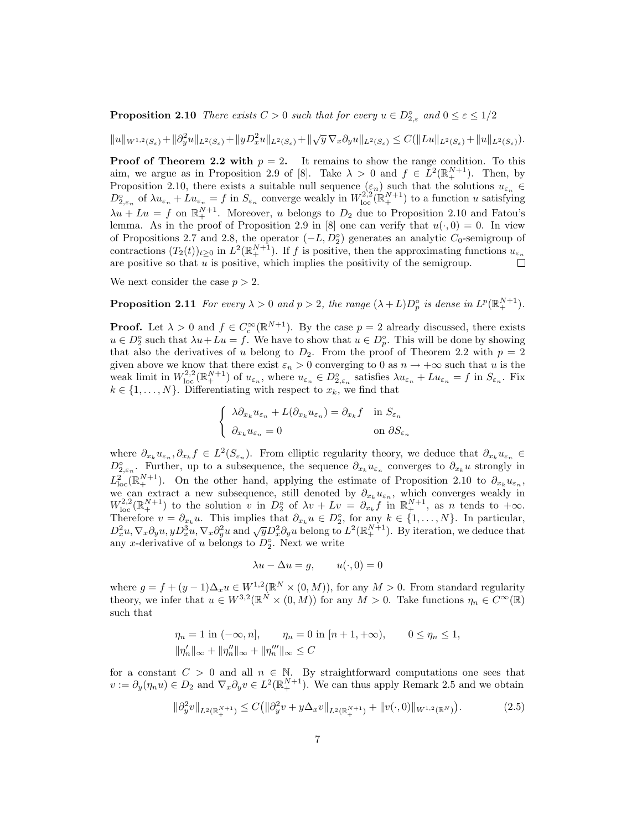**Proposition 2.10** There exists  $C > 0$  such that for every  $u \in D_{2,\varepsilon}^{\circ}$  and  $0 \leq \varepsilon \leq 1/2$ 

 $||u||_{W^{1,2}(S_{\varepsilon})} + ||\partial_y^2 u||_{L^2(S_{\varepsilon})} + ||yD_x^2 u||_{L^2(S_{\varepsilon})} + ||\sqrt{y}\,\nabla_x\partial_y u||_{L^2(S_{\varepsilon})} \leq C(||Lu||_{L^2(S_{\varepsilon})} + ||u||_{L^2(S_{\varepsilon})}).$ 

**Proof of Theorem 2.2 with**  $p = 2$ . It remains to show the range condition. To this aim, we argue as in Proposition 2.9 of [8]. Take  $\lambda > 0$  and  $f \in L^2(\mathbb{R}^{N+1}_+)$ . Then, by Proposition 2.10, there exists a suitable null sequence  $(\varepsilon_n)$  such that the solutions  $u_{\varepsilon_n} \in$  $D_{2,\varepsilon_n}^{\circ}$  of  $\lambda u_{\varepsilon_n} + Lu_{\varepsilon_n} = f$  in  $S_{\varepsilon_n}$  converge weakly in  $W_{\text{loc}}^{2,2}(\mathbb{R}^{N+1}_+)$  to a function u satisfying  $\lambda u + Lu = f$  on  $\mathbb{R}^{N+1}_+$ . Moreover, u belongs to  $D_2$  due to Proposition 2.10 and Fatou's lemma. As in the proof of Proposition 2.9 in [8] one can verify that  $u(\cdot, 0) = 0$ . In view of Propositions 2.7 and 2.8, the operator  $(-L, D_2^{\circ})$  generates an analytic  $C_0$ -semigroup of contractions  $(T_2(t))_{t\geq 0}$  in  $L^2(\mathbb{R}^{N+1}_+)$ . If f is positive, then the approximating functions  $u_{\varepsilon_n}$ are positive so that  $u$  is positive, which implies the positivity of the semigroup.  $\Box$ 

We next consider the case  $p > 2$ .

**Proposition 2.11** For every  $\lambda > 0$  and  $p > 2$ , the range  $(\lambda + L)D_p^{\circ}$  is dense in  $L^p(\mathbb{R}^{N+1}_+)$ .

**Proof.** Let  $\lambda > 0$  and  $f \in C_c^{\infty}(\mathbb{R}^{N+1})$ . By the case  $p = 2$  already discussed, there exists  $u \in D_2^{\circ}$  such that  $\lambda u + Lu = f$ . We have to show that  $u \in D_p^{\circ}$ . This will be done by showing that also the derivatives of u belong to  $D_2$ . From the proof of Theorem 2.2 with  $p = 2$ given above we know that there exist  $\varepsilon_n > 0$  converging to 0 as  $n \to +\infty$  such that u is the weak limit in  $W^{2,2}_{loc}(\mathbb{R}^{N+1}_+)$  of  $u_{\varepsilon_n}$ , where  $u_{\varepsilon_n} \in D^{\circ}_{2,\varepsilon_n}$  satisfies  $\lambda u_{\varepsilon_n} + Lu_{\varepsilon_n} = f$  in  $S_{\varepsilon_n}$ . Fix  $k \in \{1, \ldots, N\}$ . Differentiating with respect to  $x_k$ , we find that

$$
\begin{cases} \lambda \partial_{x_k} u_{\varepsilon_n} + L(\partial_{x_k} u_{\varepsilon_n}) = \partial_{x_k} f & \text{in } S_{\varepsilon_n} \\ \partial_{x_k} u_{\varepsilon_n} = 0 & \text{on } \partial S_{\varepsilon_n} \end{cases}
$$

where  $\partial_{x_k} u_{\varepsilon_n}, \partial_{x_k} f \in L^2(S_{\varepsilon_n})$ . From elliptic regularity theory, we deduce that  $\partial_{x_k} u_{\varepsilon_n} \in$  $D_{2,\varepsilon_n}^{\circ}$ . Further, up to a subsequence, the sequence  $\partial_{x_k} u_{\varepsilon_n}$  converges to  $\partial_{x_k} u$  strongly in  $L^2_{\text{loc}}(\mathbb{R}^{N+1}_+)$ . On the other hand, applying the estimate of Proposition 2.10 to  $\partial_{x_k}u_{\varepsilon_n}$ , we can extract a new subsequence, still denoted by  $\partial_{x_k} u_{\varepsilon_n}$ , which converges weakly in  $W^{2,2}_{loc}(\mathbb{R}^{N+1}_+)$  to the solution v in  $D_2^{\circ}$  of  $\lambda v + Lv = \partial_{x_k} f$  in  $\mathbb{R}^{N+1}_+$ , as n tends to  $+\infty$ . Therefore  $v = \partial_{x_k} u$ . This implies that  $\partial_{x_k} u \in D_2^{\circ}$ , for any  $k \in \{1, ..., N\}$ . In particular, Therefore  $v = \sigma_{x_k} u$ . This implies that  $\sigma_{x_k} u \in D_2$ , for any  $k \in \{1, \ldots, N\}$ . In particular,  $D_x^2 u$ ,  $\nabla_x \partial_y u$ ,  $yD_x^3 u$ ,  $\nabla_x \partial_y^2 u$  and  $\sqrt{y}D_x^2 \partial_y u$  belong to  $L^2(\mathbb{R}^{N+1}_+)$ . By iteration, we deduce that any x-derivative of u belongs to  $D_2^{\circ}$ . Next we write

$$
\lambda u - \Delta u = g, \qquad u(\cdot, 0) = 0
$$

where  $g = f + (y - 1)\Delta_x u \in W^{1,2}(\mathbb{R}^N \times (0,M))$ , for any  $M > 0$ . From standard regularity theory, we infer that  $u \in W^{3,2}(\mathbb{R}^N \times (0,M))$  for any  $M > 0$ . Take functions  $\eta_n \in C^{\infty}(\mathbb{R})$ such that

$$
\eta_n = 1 \text{ in } (-\infty, n], \qquad \eta_n = 0 \text{ in } [n+1, +\infty), \qquad 0 \le \eta_n \le 1,
$$
  

$$
\|\eta'_n\|_{\infty} + \|\eta''_n\|_{\infty} + \|\eta'''_n\|_{\infty} \le C
$$

for a constant  $C > 0$  and all  $n \in \mathbb{N}$ . By straightforward computations one sees that  $v := \partial_y(\eta_n u) \in D_2$  and  $\nabla_x \partial_y v \in L^2(\mathbb{R}^{N+1}_+)$ . We can thus apply Remark 2.5 and we obtain

$$
\|\partial_y^2 v\|_{L^2(\mathbb{R}^{N+1}_+)} \le C \big( \|\partial_y^2 v + y \Delta_x v\|_{L^2(\mathbb{R}^{N+1}_+)} + \|v(\cdot, 0)\|_{W^{1,2}(\mathbb{R}^N)} \big). \tag{2.5}
$$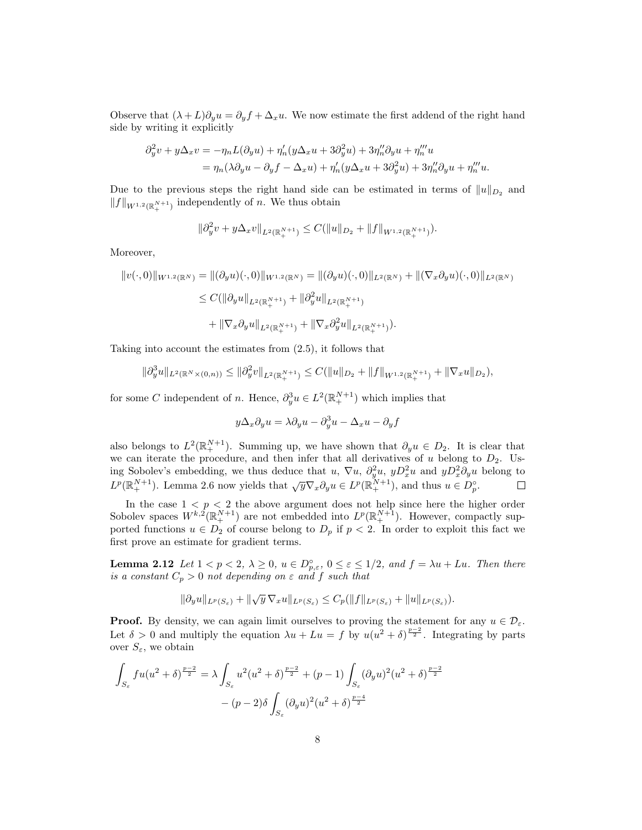Observe that  $(\lambda + L)\partial_y u = \partial_y f + \Delta_x u$ . We now estimate the first addend of the right hand side by writing it explicitly

$$
\begin{aligned} \partial_y^2 v + y \Delta_x v &= -\eta_n L(\partial_y u) + \eta_n'(y \Delta_x u + 3 \partial_y^2 u) + 3\eta_n'' \partial_y u + \eta_n''' u \\ &= \eta_n(\lambda \partial_y u - \partial_y f - \Delta_x u) + \eta_n'(y \Delta_x u + 3 \partial_y^2 u) + 3\eta_n'' \partial_y u + \eta_n''' u. \end{aligned}
$$

Due to the previous steps the right hand side can be estimated in terms of  $||u||_{D_2}$  and  $||f||_{W^{1,2}(\mathbb{R}^{N+1}_+)}$  independently of n. We thus obtain

$$
\|\partial_y^2 v + y \Delta_x v\|_{L^2(\mathbb{R}_+^{N+1})} \leq C(\|u\|_{D_2} + \|f\|_{W^{1,2}(\mathbb{R}_+^{N+1})}).
$$

Moreover,

$$
||v(\cdot,0)||_{W^{1,2}(\mathbb{R}^N)} = ||(\partial_y u)(\cdot,0)||_{W^{1,2}(\mathbb{R}^N)} = ||(\partial_y u)(\cdot,0)||_{L^2(\mathbb{R}^N)} + ||(\nabla_x \partial_y u)(\cdot,0)||_{L^2(\mathbb{R}^N)}
$$
  
\n
$$
\leq C(||\partial_y u||_{L^2(\mathbb{R}^{N+1}_+)} + ||\partial_y^2 u||_{L^2(\mathbb{R}^{N+1}_+)}
$$
  
\n
$$
+ ||\nabla_x \partial_y u||_{L^2(\mathbb{R}^{N+1}_+)} + ||\nabla_x \partial_y^2 u||_{L^2(\mathbb{R}^{N+1}_+)}).
$$

Taking into account the estimates from (2.5), it follows that

$$
\|\partial_y^3 u\|_{L^2(\mathbb{R}^N\times(0,n))} \le \|\partial_y^2 v\|_{L^2(\mathbb{R}^{N+1}_+)} \le C(\|u\|_{D_2} + \|f\|_{W^{1,2}(\mathbb{R}^{N+1}_+)} + \|\nabla_x u\|_{D_2}),
$$

for some C independent of n. Hence,  $\partial_y^3 u \in L^2(\mathbb{R}^{N+1}_+)$  which implies that

$$
y\Delta_x\partial_y u = \lambda\partial_y u - \partial_y^3 u - \Delta_x u - \partial_y f
$$

also belongs to  $L^2(\mathbb{R}^{N+1}_+)$ . Summing up, we have shown that  $\partial_y u \in D_2$ . It is clear that we can iterate the procedure, and then infer that all derivatives of u belong to  $D_2$ . Using Sobolev's embedding, we thus deduce that u,  $\nabla u$ ,  $\partial_y^2 u$ ,  $y D_x^2 u$  and  $y D_x^2 \partial_y u$  belong to  $L^p(\mathbb{R}^{N+1}_+)$ . Lemma 2.6 now yields that  $\sqrt{y}\nabla_x\partial_y u \in L^p(\mathbb{R}^{N+1}_+)$ , and thus  $u \in D_p^{\circ}$ .

In the case  $1 < p < 2$  the above argument does not help since here the higher order Sobolev spaces  $W^{k,2}(\mathbb{R}^{N+1}_+)$  are not embedded into  $L^p(\mathbb{R}^{N+1}_+)$ . However, compactly supported functions  $u \in D_2$  of course belong to  $D_p$  if  $p < 2$ . In order to exploit this fact we first prove an estimate for gradient terms.

**Lemma 2.12** Let  $1 < p < 2$ ,  $\lambda \geq 0$ ,  $u \in D_{p,\varepsilon}^{\circ}$ ,  $0 \leq \varepsilon \leq 1/2$ , and  $f = \lambda u + Lu$ . Then there is a constant  $C_p > 0$  not depending on  $\varepsilon$  and f such that

$$
\|\partial_y u\|_{L^p(S_\varepsilon)} + \|\sqrt{y}\,\nabla_x u\|_{L^p(S_\varepsilon)} \leq C_p(\|f\|_{L^p(S_\varepsilon)} + \|u\|_{L^p(S_\varepsilon)}).
$$

**Proof.** By density, we can again limit ourselves to proving the statement for any  $u \in \mathcal{D}_{\varepsilon}$ . Let  $\delta > 0$  and multiply the equation  $\lambda u + Lu = f$  by  $u(u^2 + \delta)^{\frac{p-2}{2}}$ . Integrating by parts over  $S_{\varepsilon}$ , we obtain

$$
\int_{S_{\varepsilon}} f u(u^{2} + \delta)^{\frac{p-2}{2}} = \lambda \int_{S_{\varepsilon}} u^{2} (u^{2} + \delta)^{\frac{p-2}{2}} + (p-1) \int_{S_{\varepsilon}} (\partial_{y} u)^{2} (u^{2} + \delta)^{\frac{p-2}{2}}
$$

$$
- (p-2) \delta \int_{S_{\varepsilon}} (\partial_{y} u)^{2} (u^{2} + \delta)^{\frac{p-4}{2}}
$$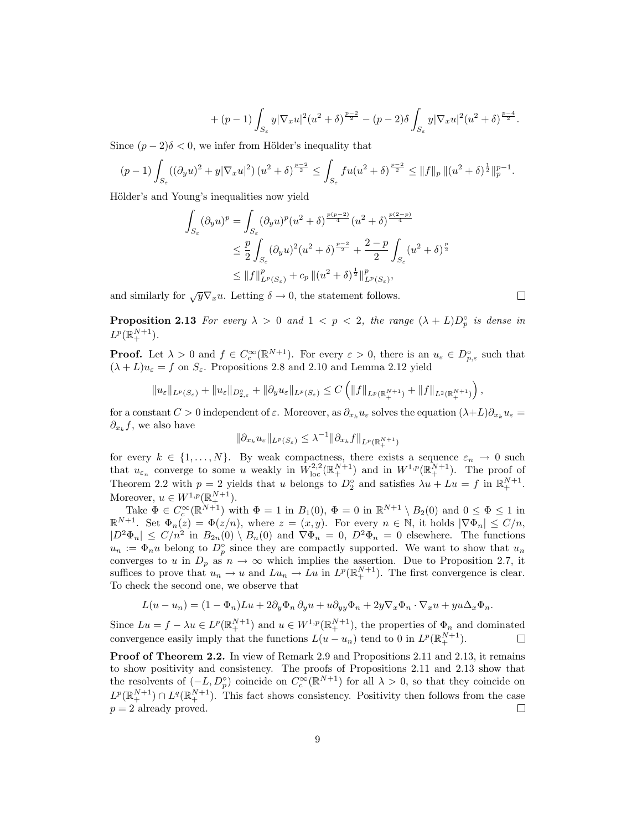$$
+ (p-1) \int_{S_{\varepsilon}} y |\nabla_x u|^2 (u^2 + \delta)^{\frac{p-2}{2}} - (p-2) \delta \int_{S_{\varepsilon}} y |\nabla_x u|^2 (u^2 + \delta)^{\frac{p-4}{2}}.
$$

Since  $(p-2)\delta < 0$ , we infer from Hölder's inequality that

$$
(p-1)\int_{S_{\varepsilon}} ((\partial_y u)^2 + y |\nabla_x u|^2) (u^2 + \delta)^{\frac{p-2}{2}} \le \int_{S_{\varepsilon}} f u (u^2 + \delta)^{\frac{p-2}{2}} \le ||f||_p \, ||(u^2 + \delta)^{\frac{1}{2}}||_p^{p-1}.
$$

Hölder's and Young's inequalities now yield

$$
\int_{S_{\varepsilon}} (\partial_y u)^p = \int_{S_{\varepsilon}} (\partial_y u)^p (u^2 + \delta)^{\frac{p(p-2)}{4}} (u^2 + \delta)^{\frac{p(2-p)}{4}}
$$
  

$$
\leq \frac{p}{2} \int_{S_{\varepsilon}} (\partial_y u)^2 (u^2 + \delta)^{\frac{p-2}{2}} + \frac{2-p}{2} \int_{S_{\varepsilon}} (u^2 + \delta)^{\frac{p}{2}}
$$
  

$$
\leq ||f||_{L^p(S_{\varepsilon})}^p + c_p ||(u^2 + \delta)^{\frac{1}{2}}||_{L^p(S_{\varepsilon})}^p,
$$

and similarly for  $\sqrt{y}\nabla_x u$ . Letting  $\delta \to 0$ , the statement follows.

**Proposition 2.13** For every  $\lambda > 0$  and  $1 < p < 2$ , the range  $(\lambda + L)D_p^{\circ}$  is dense in  $L^p(\mathbb{R}^{N+1}_+).$ 

**Proof.** Let  $\lambda > 0$  and  $f \in C_c^{\infty}(\mathbb{R}^{N+1})$ . For every  $\varepsilon > 0$ , there is an  $u_{\varepsilon} \in D_{p,\varepsilon}^{\circ}$  such that  $(\lambda + L)u_{\varepsilon} = f$  on  $S_{\varepsilon}$ . Propositions 2.8 and 2.10 and Lemma 2.12 yield

$$
||u_{\varepsilon}||_{L^{p}(S_{\varepsilon})}+||u_{\varepsilon}||_{D_{2,\varepsilon}^{\circ}}+||\partial_{y}u_{\varepsilon}||_{L^{p}(S_{\varepsilon})}\leq C\left(||f||_{L^{p}(\mathbb{R}_{+}^{N+1})}+||f||_{L^{2}(\mathbb{R}_{+}^{N+1})}\right),
$$

for a constant  $C > 0$  independent of  $\varepsilon$ . Moreover, as  $\partial_{x_k} u_{\varepsilon}$  solves the equation  $(\lambda + L)\partial_{x_k} u_{\varepsilon} =$  $\partial_{x_k} f$ , we also have

$$
\|\partial_{x_k} u_{\varepsilon}\|_{L^p(S_{\varepsilon})} \leq \lambda^{-1} \|\partial_{x_k} f\|_{L^p(\mathbb{R}^{N+1}_+)}
$$

for every  $k \in \{1, ..., N\}$ . By weak compactness, there exists a sequence  $\varepsilon_n \to 0$  such that  $u_{\varepsilon_n}$  converge to some u weakly in  $W_{\text{loc}}^{2,2}(\mathbb{R}^{N+1}_+)$  and in  $W^{1,p}(\mathbb{R}^{N+1}_+)$ . The proof of Theorem 2.2 with  $p = 2$  yields that u belongs to  $D_2^{\circ}$  and satisfies  $\lambda u + Lu = f$  in  $\mathbb{R}^{N+1}_+$ . Moreover,  $u \in W^{1,p}(\mathbb{R}^{N+1}_+).$ 

Take  $\Phi \in C_c^{\infty}(\mathbb{R}^{N+1})$  with  $\Phi = 1$  in  $B_1(0)$ ,  $\Phi = 0$  in  $\mathbb{R}^{N+1} \setminus B_2(0)$  and  $0 \le \Phi \le 1$  in  $\mathbb{R}^{N+1}$ . Set  $\Phi_n(z) = \Phi(z/n)$ , where  $z = (x, y)$ . For every  $n \in \mathbb{N}$ , it holds  $|\nabla \Phi_n| \le C/n$ ,  $|D^2\Phi_n| \leq C/n^2$  in  $B_{2n}(0) \setminus B_n(0)$  and  $\nabla \Phi_n = 0$ ,  $D^2\Phi_n = 0$  elsewhere. The functions  $u_n := \Phi_n u$  belong to  $D_p^{\circ}$  since they are compactly supported. We want to show that  $u_n$ converges to u in  $D_p$  as  $n \to \infty$  which implies the assertion. Due to Proposition 2.7, it suffices to prove that  $u_n \to u$  and  $Lu_n \to Lu$  in  $L^p(\mathbb{R}^{N+1}_+)$ . The first convergence is clear. To check the second one, we observe that

$$
L(u - u_n) = (1 - \Phi_n)Lu + 2\partial_y \Phi_n \partial_y u + u \partial_{yy} \Phi_n + 2y \nabla_x \Phi_n \cdot \nabla_x u + y u \Delta_x \Phi_n.
$$

Since  $Lu = f - \lambda u \in L^p(\mathbb{R}^{N+1}_+)$  and  $u \in W^{1,p}(\mathbb{R}^{N+1}_+)$ , the properties of  $\Phi_n$  and dominated convergence easily imply that the functions  $L(u - u_n)$  tend to 0 in  $L^p(\mathbb{R}^{N+1}_+)$ .  $\Box$ 

Proof of Theorem 2.2. In view of Remark 2.9 and Propositions 2.11 and 2.13, it remains to show positivity and consistency. The proofs of Propositions 2.11 and 2.13 show that the resolvents of  $(-L, D_p^{\circ})$  coincide on  $C_c^{\infty}(\mathbb{R}^{N+1})$  for all  $\lambda > 0$ , so that they coincide on  $L^p(\mathbb{R}^{N+1}_+) \cap L^q(\mathbb{R}^{N+1}_+)$ . This fact shows consistency. Positivity then follows from the case  $p = 2$  already proved.

 $\Box$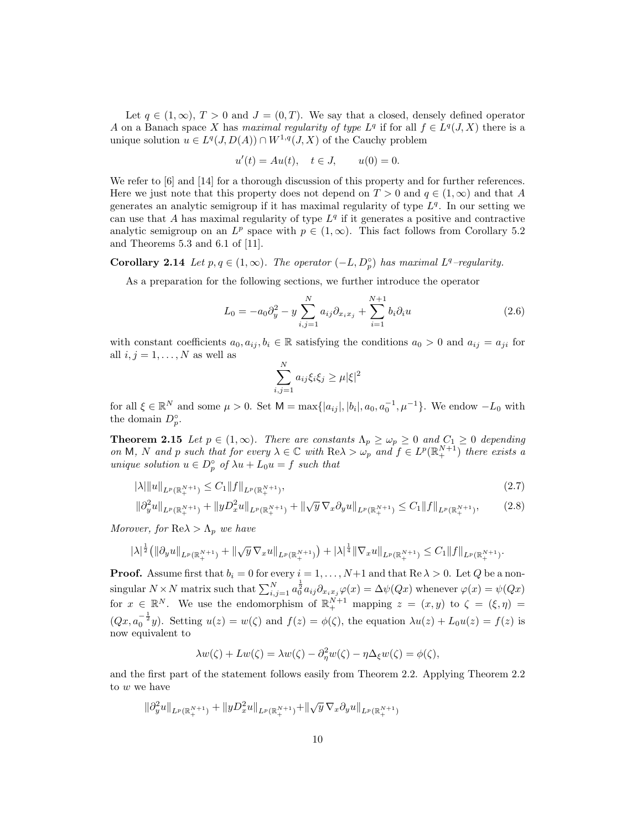Let  $q \in (1,\infty)$ ,  $T > 0$  and  $J = (0,T)$ . We say that a closed, densely defined operator A on a Banach space X has maximal regularity of type  $L^q$  if for all  $f \in L^q(J, X)$  there is a unique solution  $u \in L^q(J, D(A)) \cap W^{1,q}(J, X)$  of the Cauchy problem

$$
u'(t) = Au(t), \quad t \in J, \qquad u(0) = 0.
$$

We refer to [6] and [14] for a thorough discussion of this property and for further references. Here we just note that this property does not depend on  $T > 0$  and  $q \in (1,\infty)$  and that A generates an analytic semigroup if it has maximal regularity of type  $L<sup>q</sup>$ . In our setting we can use that  $A$  has maximal regularity of type  $L<sup>q</sup>$  if it generates a positive and contractive analytic semigroup on an  $L^p$  space with  $p \in (1,\infty)$ . This fact follows from Corollary 5.2 and Theorems 5.3 and 6.1 of [11].

**Corollary 2.14** Let  $p, q \in (1, \infty)$ . The operator  $(-L, D_p^{\circ})$  has maximal  $L^q$ -regularity.

As a preparation for the following sections, we further introduce the operator

$$
L_0 = -a_0 \partial_y^2 - y \sum_{i,j=1}^N a_{ij} \partial_{x_i x_j} + \sum_{i=1}^{N+1} b_i \partial_i u \tag{2.6}
$$

with constant coefficients  $a_0, a_{ij}, b_i \in \mathbb{R}$  satisfying the conditions  $a_0 > 0$  and  $a_{ij} = a_{ji}$  for all  $i, j = 1, \ldots, N$  as well as

$$
\sum_{i,j=1}^{N} a_{ij} \xi_i \xi_j \ge \mu |\xi|^2
$$

for all  $\xi \in \mathbb{R}^N$  and some  $\mu > 0$ . Set  $M = \max\{|a_{ij}|, |b_i|, a_0, a_0^{-1}, \mu^{-1}\}$ . We endow  $-L_0$  with the domain  $D_p^{\circ}$ .

**Theorem 2.15** Let  $p \in (1,\infty)$ . There are constants  $\Lambda_p \geq \omega_p \geq 0$  and  $C_1 \geq 0$  depending on M, N and p such that for every  $\lambda \in \mathbb{C}$  with  $\text{Re}\lambda > \omega_p$  and  $f \in L^p(\mathbb{R}^{N+1}_+)$  there exists a unique solution  $u \in D_p^{\circ}$  of  $\lambda u + L_0 u = f$  such that

$$
|\lambda| \|u\|_{L^p(\mathbb{R}^{N+1}_+)} \le C_1 \|f\|_{L^p(\mathbb{R}^{N+1}_+)},\tag{2.7}
$$

$$
\|\partial_y^2 u\|_{L^p(\mathbb{R}^{N+1}_+)} + \|yD_x^2 u\|_{L^p(\mathbb{R}^{N+1}_+)} + \|\sqrt{y}\,\nabla_x \partial_y u\|_{L^p(\mathbb{R}^{N+1}_+)} \le C_1 \|f\|_{L^p(\mathbb{R}^{N+1}_+)},\tag{2.8}
$$

Morover, for  $\text{Re}\lambda > \Lambda_p$  we have

$$
|\lambda|^{\frac 12}\big(\|\partial_y u\|_{L^p(\mathbb{R}^{N+1}_+)}+\|\sqrt y\,\nabla_x u\|_{L^p(\mathbb{R}^{N+1}_+)}\big)+|\lambda|^{\frac 14}\|\nabla_x u\|_{L^p(\mathbb{R}^{N+1}_+)}\leq C_1\|f\|_{L^p(\mathbb{R}^{N+1}_+)}.
$$

**Proof.** Assume first that  $b_i = 0$  for every  $i = 1, ..., N+1$  and that  $\text{Re }\lambda > 0$ . Let Q be a nonsingular  $N \times N$  matrix such that  $\sum_{i,j=1}^{N} a_0^{\frac{1}{2}} a_{ij} \partial_{x_i x_j} \varphi(x) = \Delta \psi(Qx)$  whenever  $\varphi(x) = \psi(Qx)$ for  $x \in \mathbb{R}^N$ . We use the endomorphism of  $\mathbb{R}^{N+1}$  mapping  $z = (x, y)$  to  $\zeta = (\xi, \eta)$  $(Qx, a_0^{-\frac{1}{2}}y)$ . Setting  $u(z) = w(\zeta)$  and  $f(z) = \phi(\zeta)$ , the equation  $\lambda u(z) + L_0 u(z) = f(z)$  is now equivalent to

$$
\lambda w(\zeta) + Lw(\zeta) = \lambda w(\zeta) - \partial_{\eta}^{2} w(\zeta) - \eta \Delta_{\xi} w(\zeta) = \phi(\zeta),
$$

and the first part of the statement follows easily from Theorem 2.2. Applying Theorem 2.2 to w we have

$$
\|\partial_y^2 u\|_{L^p(\mathbb{R}^{N+1}_+)} + \|yD_x^2u\|_{L^p(\mathbb{R}^{N+1}_+)} + \|\sqrt{y}\,\nabla_x\partial_y u\|_{L^p(\mathbb{R}^{N+1}_+)}
$$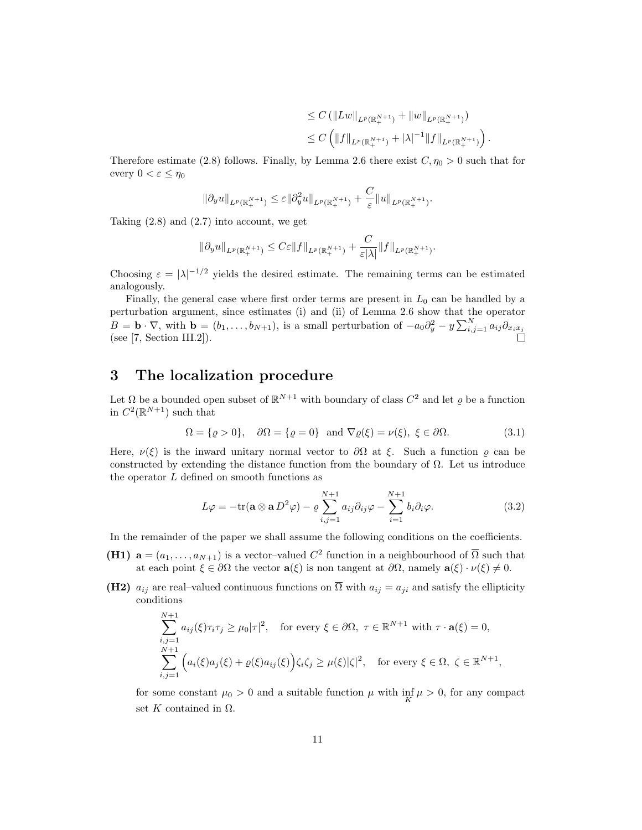$$
\leq C \left( \|Lw\|_{L^p(\mathbb{R}^{N+1}_+)} + \|w\|_{L^p(\mathbb{R}^{N+1}_+)} \right)
$$
  

$$
\leq C \left( \|f\|_{L^p(\mathbb{R}^{N+1}_+)} + |\lambda|^{-1} \|f\|_{L^p(\mathbb{R}^{N+1}_+)} \right).
$$

Therefore estimate (2.8) follows. Finally, by Lemma 2.6 there exist  $C, \eta_0 > 0$  such that for every  $0 < \varepsilon \leq \eta_0$ 

$$
\|\partial_y u\|_{L^p(\mathbb{R}^{N+1}_+)} \leq \varepsilon \|\partial_y^2 u\|_{L^p(\mathbb{R}^{N+1}_+)} + \frac{C}{\varepsilon} \|u\|_{L^p(\mathbb{R}^{N+1}_+)}.
$$

Taking  $(2.8)$  and  $(2.7)$  into account, we get

$$
\|\partial_y u\|_{L^p(\mathbb{R}^{N+1}_+)} \leq C\varepsilon \|f\|_{L^p(\mathbb{R}^{N+1}_+)} + \frac{C}{\varepsilon |\lambda|} \|f\|_{L^p(\mathbb{R}^{N+1}_+)}.
$$

Choosing  $\varepsilon = |\lambda|^{-1/2}$  yields the desired estimate. The remaining terms can be estimated analogously.

Finally, the general case where first order terms are present in  $L_0$  can be handled by a perturbation argument, since estimates (i) and (ii) of Lemma 2.6 show that the operator  $B = \mathbf{b} \cdot \nabla$ , with  $\mathbf{b} = (b_1, \ldots, b_{N+1})$ , is a small perturbation of  $-a_0 \partial_y^2 - y \sum_{i,j=1}^N a_{ij} \partial_{x_i x_j}$ (see  $[7, Section III.2]$ ).

#### 3 The localization procedure

Let  $\Omega$  be a bounded open subset of  $\mathbb{R}^{N+1}$  with boundary of class  $C^2$  and let  $\varrho$  be a function in  $C^2(\mathbb{R}^{N+1})$  such that

$$
\Omega = \{ \varrho > 0 \}, \quad \partial \Omega = \{ \varrho = 0 \} \text{ and } \nabla \varrho(\xi) = \nu(\xi), \ \xi \in \partial \Omega. \tag{3.1}
$$

Here,  $\nu(\xi)$  is the inward unitary normal vector to  $\partial\Omega$  at  $\xi$ . Such a function  $\rho$  can be constructed by extending the distance function from the boundary of  $\Omega$ . Let us introduce the operator  $L$  defined on smooth functions as

$$
L\varphi = -\text{tr}(\mathbf{a} \otimes \mathbf{a} D^2 \varphi) - \varrho \sum_{i,j=1}^{N+1} a_{ij} \partial_{ij} \varphi - \sum_{i=1}^{N+1} b_i \partial_i \varphi.
$$
 (3.2)

In the remainder of the paper we shall assume the following conditions on the coefficients.

- (H1)  $\mathbf{a} = (a_1, \ldots, a_{N+1})$  is a vector-valued  $C^2$  function in a neighbourhood of  $\overline{\Omega}$  such that at each point  $\xi \in \partial\Omega$  the vector  $\mathbf{a}(\xi)$  is non tangent at  $\partial\Omega$ , namely  $\mathbf{a}(\xi) \cdot \nu(\xi) \neq 0$ .
- (H2)  $a_{ij}$  are real–valued continuous functions on  $\overline{\Omega}$  with  $a_{ij} = a_{ji}$  and satisfy the ellipticity conditions

$$
\sum_{i,j=1}^{N+1} a_{ij}(\xi)\tau_i\tau_j \ge \mu_0|\tau|^2, \quad \text{for every } \xi \in \partial\Omega, \ \tau \in \mathbb{R}^{N+1} \text{ with } \tau \cdot \mathbf{a}(\xi) = 0,
$$
  

$$
\sum_{i,j=1}^{N+1} \left( a_i(\xi)a_j(\xi) + \varrho(\xi)a_{ij}(\xi) \right) \zeta_i\zeta_j \ge \mu(\xi)|\zeta|^2, \quad \text{for every } \xi \in \Omega, \ \zeta \in \mathbb{R}^{N+1},
$$

for some constant  $\mu_0 > 0$  and a suitable function  $\mu$  with  $\inf_K \mu > 0$ , for any compact set K contained in  $\Omega$ .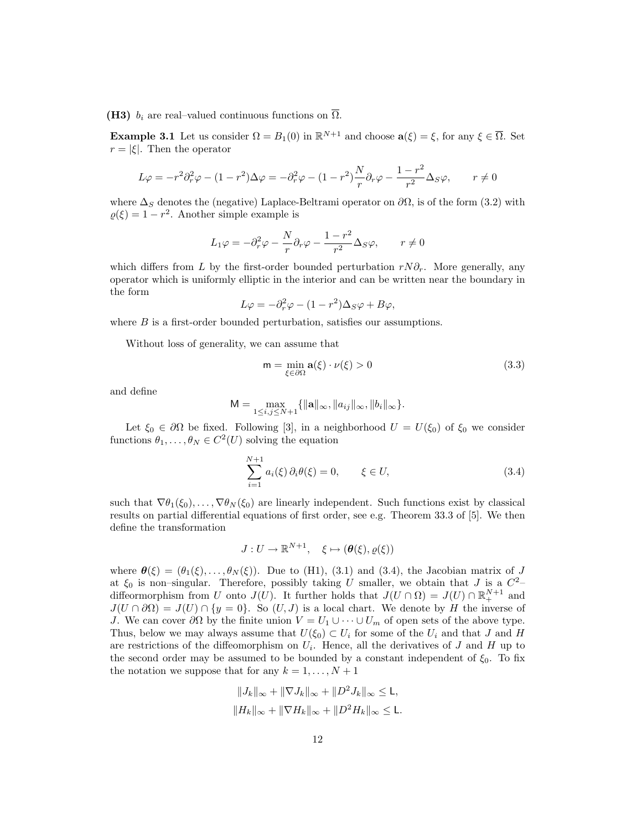(H3)  $b_i$  are real–valued continuous functions on  $\overline{\Omega}$ .

**Example 3.1** Let us consider  $\Omega = B_1(0)$  in  $\mathbb{R}^{N+1}$  and choose  $\mathbf{a}(\xi) = \xi$ , for any  $\xi \in \overline{\Omega}$ . Set  $r = |\xi|$ . Then the operator

$$
L\varphi = -r^2 \partial_r^2 \varphi - (1 - r^2) \Delta \varphi = -\partial_r^2 \varphi - (1 - r^2) \frac{N}{r} \partial_r \varphi - \frac{1 - r^2}{r^2} \Delta_S \varphi, \qquad r \neq 0
$$

where  $\Delta_S$  denotes the (negative) Laplace-Beltrami operator on  $\partial\Omega$ , is of the form (3.2) with  $\rho(\xi) = 1 - r^2$ . Another simple example is

$$
L_1 \varphi = -\partial_r^2 \varphi - \frac{N}{r} \partial_r \varphi - \frac{1 - r^2}{r^2} \Delta_S \varphi, \qquad r \neq 0
$$

which differs from L by the first-order bounded perturbation  $rN\partial_r$ . More generally, any operator which is uniformly elliptic in the interior and can be written near the boundary in the form

$$
L\varphi = -\partial_r^2 \varphi - (1 - r^2)\Delta_S \varphi + B\varphi,
$$

where  $B$  is a first-order bounded perturbation, satisfies our assumptions.

Without loss of generality, we can assume that

$$
\mathsf{m} = \min_{\xi \in \partial \Omega} \mathbf{a}(\xi) \cdot \nu(\xi) > 0 \tag{3.3}
$$

and define

$$
M = \max_{1 \le i,j \le N+1} \{ ||\mathbf{a}||_{\infty}, ||a_{ij}||_{\infty}, ||b_i||_{\infty} \}.
$$

Let  $\xi_0 \in \partial\Omega$  be fixed. Following [3], in a neighborhood  $U = U(\xi_0)$  of  $\xi_0$  we consider functions  $\theta_1, \ldots, \theta_N \in C^2(U)$  solving the equation

$$
\sum_{i=1}^{N+1} a_i(\xi) \, \partial_i \theta(\xi) = 0, \qquad \xi \in U,
$$
\n(3.4)

such that  $\nabla \theta_1(\xi_0), \ldots, \nabla \theta_N(\xi_0)$  are linearly independent. Such functions exist by classical results on partial differential equations of first order, see e.g. Theorem 33.3 of [5]. We then define the transformation

$$
J: U \to \mathbb{R}^{N+1}, \quad \xi \mapsto (\boldsymbol{\theta}(\xi), \varrho(\xi))
$$

where  $\theta(\xi) = (\theta_1(\xi), \ldots, \theta_N(\xi))$ . Due to (H1), (3.1) and (3.4), the Jacobian matrix of J at  $\xi_0$  is non-singular. Therefore, possibly taking U smaller, we obtain that J is a  $C^2$ diffeormorphism from U onto  $J(U)$ . It further holds that  $J(U \cap \Omega) = J(U) \cap \mathbb{R}^{N+1}_+$  and  $J(U \cap \partial \Omega) = J(U) \cap \{y = 0\}$ . So  $(U, J)$  is a local chart. We denote by H the inverse of J. We can cover  $\partial\Omega$  by the finite union  $V = U_1 \cup \cdots \cup U_m$  of open sets of the above type. Thus, below we may always assume that  $U(\xi_0) \subset U_i$  for some of the  $U_i$  and that J and H are restrictions of the diffeomorphism on  $U_i$ . Hence, all the derivatives of  $J$  and  $H$  up to the second order may be assumed to be bounded by a constant independent of  $\xi_0$ . To fix the notation we suppose that for any  $k = 1, \ldots, N + 1$ 

$$
||J_k||_{\infty} + ||\nabla J_k||_{\infty} + ||D^2 J_k||_{\infty} \le L,
$$
  

$$
||H_k||_{\infty} + ||\nabla H_k||_{\infty} + ||D^2 H_k||_{\infty} \le L.
$$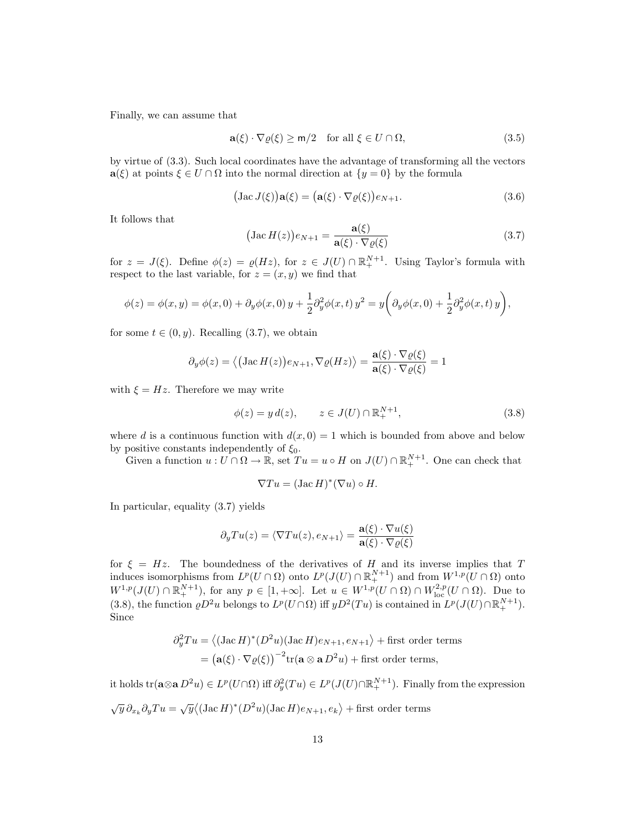Finally, we can assume that

$$
\mathbf{a}(\xi) \cdot \nabla \varrho(\xi) \ge \mathsf{m}/2 \quad \text{for all } \xi \in U \cap \Omega,
$$
\n(3.5)

by virtue of (3.3). Such local coordinates have the advantage of transforming all the vectors  $a(\xi)$  at points  $\xi \in U \cap \Omega$  into the normal direction at  $\{y = 0\}$  by the formula

$$
(\text{Jac }J(\xi))\mathbf{a}(\xi) = (\mathbf{a}(\xi) \cdot \nabla \varrho(\xi))e_{N+1}.
$$
\n(3.6)

It follows that

$$
(\operatorname{Jac} H(z))e_{N+1} = \frac{\mathbf{a}(\xi)}{\mathbf{a}(\xi) \cdot \nabla \varrho(\xi)}
$$
(3.7)

for  $z = J(\xi)$ . Define  $\phi(z) = \varrho(Hz)$ , for  $z \in J(U) \cap \mathbb{R}^{N+1}_+$ . Using Taylor's formula with respect to the last variable, for  $z = (x, y)$  we find that

$$
\phi(z) = \phi(x, y) = \phi(x, 0) + \partial_y \phi(x, 0) y + \frac{1}{2} \partial_y^2 \phi(x, t) y^2 = y \left( \partial_y \phi(x, 0) + \frac{1}{2} \partial_y^2 \phi(x, t) y \right),
$$

for some  $t \in (0, y)$ . Recalling (3.7), we obtain

$$
\partial_y \phi(z) = \langle \big(\text{Jac}\,H(z)\big)e_{N+1}, \nabla \varrho(Hz) \rangle = \frac{\mathbf{a}(\xi) \cdot \nabla \varrho(\xi)}{\mathbf{a}(\xi) \cdot \nabla \varrho(\xi)} = 1
$$

with  $\xi = Hz$ . Therefore we may write

$$
\phi(z) = y \, d(z), \qquad z \in J(U) \cap \mathbb{R}^{N+1}_+, \tag{3.8}
$$

where d is a continuous function with  $d(x, 0) = 1$  which is bounded from above and below by positive constants independently of  $\xi_0$ .

Given a function  $u: U \cap \Omega \to \mathbb{R}$ , set  $Tu = u \circ H$  on  $J(U) \cap \mathbb{R}^{N+1}_+$ . One can check that

$$
\nabla T u = (\text{Jac}\,H)^*(\nabla u) \circ H.
$$

In particular, equality (3.7) yields

$$
\partial_y T u(z) = \langle \nabla T u(z), e_{N+1} \rangle = \frac{\mathbf{a}(\xi) \cdot \nabla u(\xi)}{\mathbf{a}(\xi) \cdot \nabla \varrho(\xi)}
$$

for  $\xi = Hz$ . The boundedness of the derivatives of H and its inverse implies that T induces isomorphisms from  $L^p(U \cap \Omega)$  onto  $L^p(J(U) \cap \mathbb{R}^{N+1}_+)$  and from  $W^{1,p}(U \cap \Omega)$  onto  $W^{1,p}(J(U) \cap \mathbb{R}^{N+1}_+)$ , for any  $p \in [1, +\infty]$ . Let  $u \in W^{1,p}(U \cap \Omega) \cap W^{2,p}_{loc}(U \cap \Omega)$ . Due to (3.8), the function  $\varrho D^2 u$  belongs to  $L^p(U \cap \Omega)$  iff  $yD^2(Tu)$  is contained in  $L^p(J(U) \cap \mathbb{R}^{N+1}_+)$ . Since

$$
\partial_y^2 T u = \langle (\text{Jac } H)^*(D^2 u)(\text{Jac } H)e_{N+1}, e_{N+1} \rangle + \text{first order terms}
$$

$$
= (\mathbf{a}(\xi) \cdot \nabla \varrho(\xi))^{-2} \text{tr}(\mathbf{a} \otimes \mathbf{a} D^2 u) + \text{first order terms},
$$

it holds  $\text{tr}(\mathbf{a}\otimes \mathbf{a} D^2u) \in L^p(U\cap\Omega)$  iff  $\partial_y^2(Tu) \in L^p(J(U)\cap\mathbb{R}^{N+1}_+)$ . Finally from the expression

$$
\sqrt{y} \,\partial_{x_k}\partial_y Tu = \sqrt{y} \big\langle (\text{Jac } H)^*(D^2u)(\text{Jac } H)e_{N+1}, e_k \big\rangle + \text{first order terms}
$$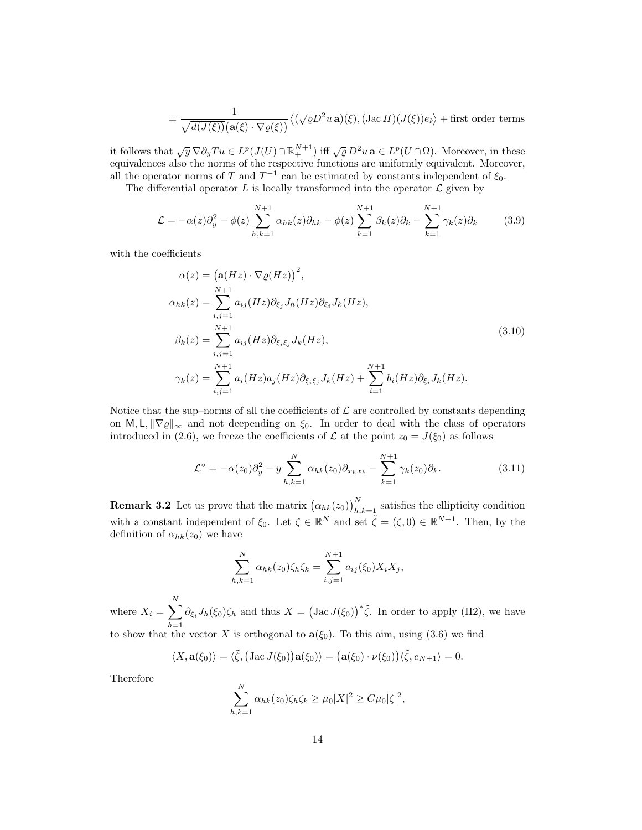$$
= \frac{1}{\sqrt{d(J(\xi))}\big(\mathbf{a}(\xi)\cdot\nabla\varrho(\xi)\big)}\big\langle (\sqrt{\varrho}D^2u\,\mathbf{a})(\xi),(\mathrm{Jac}\,H)(J(\xi))e_k\big\rangle + \text{first order terms}
$$

it follows that  $\sqrt{y} \nabla \partial_y T u \in L^p(J(U) \cap \mathbb{R}^{N+1}_+)$  iff  $\sqrt{\varrho} D^2 u \mathbf{a} \in L^p(U \cap \Omega)$ . Moreover, in these equivalences also the norms of the respective functions are uniformly equivalent. Moreover, all the operator norms of T and  $T^{-1}$  can be estimated by constants independent of  $\xi_0$ .

The differential operator  $L$  is locally transformed into the operator  $\mathcal L$  given by

$$
\mathcal{L} = -\alpha(z)\partial_y^2 - \phi(z)\sum_{h,k=1}^{N+1} \alpha_{hk}(z)\partial_{hk} - \phi(z)\sum_{k=1}^{N+1} \beta_k(z)\partial_k - \sum_{k=1}^{N+1} \gamma_k(z)\partial_k \tag{3.9}
$$

with the coefficients

$$
\alpha(z) = (\mathbf{a}(Hz) \cdot \nabla \varrho(Hz))^2,
$$
  
\n
$$
\alpha_{hk}(z) = \sum_{i,j=1}^{N+1} a_{ij}(Hz) \partial_{\xi_j} J_h(Hz) \partial_{\xi_i} J_k(Hz),
$$
  
\n
$$
\beta_k(z) = \sum_{i,j=1}^{N+1} a_{ij}(Hz) \partial_{\xi_i \xi_j} J_k(Hz),
$$
  
\n
$$
\gamma_k(z) = \sum_{i,j=1}^{N+1} a_i(Hz) a_j(Hz) \partial_{\xi_i \xi_j} J_k(Hz) + \sum_{i=1}^{N+1} b_i(Hz) \partial_{\xi_i} J_k(Hz).
$$
\n(3.10)

Notice that the sup–norms of all the coefficients of  $\mathcal L$  are controlled by constants depending on M, L,  $\|\nabla \varrho\|_{\infty}$  and not deepending on  $\xi_0$ . In order to deal with the class of operators introduced in (2.6), we freeze the coefficients of  $\mathcal L$  at the point  $z_0 = J(\xi_0)$  as follows

$$
\mathcal{L}^{\circ} = -\alpha(z_0)\partial_y^2 - y \sum_{h,k=1}^N \alpha_{hk}(z_0)\partial_{x_h x_k} - \sum_{k=1}^{N+1} \gamma_k(z_0)\partial_k.
$$
 (3.11)

**Remark 3.2** Let us prove that the matrix  $(\alpha_{hk}(z_0))_{h,k=1}^N$  satisfies the ellipticity condition with a constant independent of  $\xi_0$ . Let  $\zeta \in \mathbb{R}^N$  and set  $\tilde{\zeta} = (\zeta, 0) \in \mathbb{R}^{N+1}$ . Then, by the definition of  $\alpha_{hk}(z_0)$  we have

$$
\sum_{h,k=1}^{N} \alpha_{hk}(z_0) \zeta_h \zeta_k = \sum_{i,j=1}^{N+1} a_{ij}(\xi_0) X_i X_j,
$$

where  $X_i = \sum_{i=1}^{N}$  $h=1$  $\partial_{\xi_i} J_h(\xi_0) \zeta_h$  and thus  $X = (\text{Jac } J(\xi_0))^* \tilde{\zeta}$ . In order to apply (H2), we have to show that the vector X is orthogonal to  $a(\xi_0)$ . To this aim, using (3.6) we find

$$
\langle X, \mathbf{a}(\xi_0) \rangle = \langle \tilde{\zeta}, \big( \text{Jac } J(\xi_0) \big) \mathbf{a}(\xi_0) \rangle = \big( \mathbf{a}(\xi_0) \cdot \nu(\xi_0) \big) \langle \tilde{\zeta}, e_{N+1} \rangle = 0.
$$

Therefore

$$
\sum_{h,k=1}^N \alpha_{hk}(z_0)\zeta_h\zeta_k \ge \mu_0 |X|^2 \ge C\mu_0 |\zeta|^2,
$$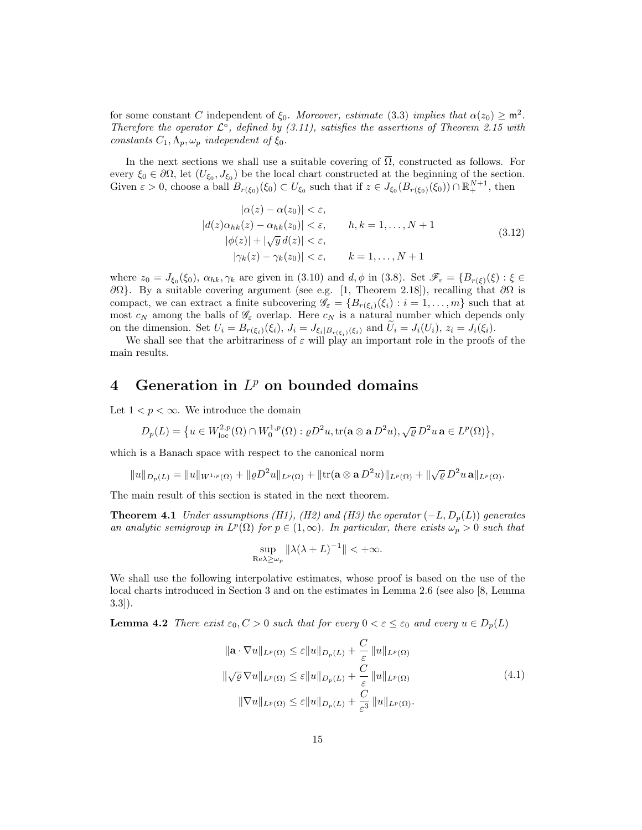for some constant C independent of  $\xi_0$ . Moreover, estimate (3.3) implies that  $\alpha(z_0) \geq m^2$ . Therefore the operator  $\mathcal{L}^{\circ}$ , defined by (3.11), satisfies the assertions of Theorem 2.15 with constants  $C_1, \Lambda_p, \omega_p$  independent of  $\xi_0$ .

In the next sections we shall use a suitable covering of  $\overline{\Omega}$ , constructed as follows. For every  $\xi_0 \in \partial\Omega$ , let  $(U_{\xi_0}, J_{\xi_0})$  be the local chart constructed at the beginning of the section. Given  $\varepsilon > 0$ , choose a ball  $B_{r(\xi_0)}(\xi_0) \subset U_{\xi_0}$  such that if  $z \in J_{\xi_0}(B_{r(\xi_0)}(\xi_0)) \cap \mathbb{R}^{N+1}_+$ , then

$$
|\alpha(z) - \alpha(z_0)| < \varepsilon,
$$
  
\n
$$
|d(z)\alpha_{hk}(z) - \alpha_{hk}(z_0)| < \varepsilon,
$$
  
\n
$$
|b(z)| + |\sqrt{y} d(z)| < \varepsilon,
$$
  
\n
$$
|\gamma_k(z) - \gamma_k(z_0)| < \varepsilon,
$$
  
\n
$$
k = 1, ..., N + 1
$$
\n(3.12)

where  $z_0 = J_{\xi_0}(\xi_0)$ ,  $\alpha_{hk}, \gamma_k$  are given in (3.10) and  $d, \phi$  in (3.8). Set  $\mathscr{F}_{\varepsilon} = \{B_{r(\xi)}(\xi) : \xi \in$  $\partial\Omega$ }. By a suitable covering argument (see e.g. [1, Theorem 2.18]), recalling that  $\partial\Omega$  is compact, we can extract a finite subcovering  $\mathscr{G}_{\varepsilon} = \{B_{r(\xi_i)}(\xi_i) : i = 1, \ldots, m\}$  such that at most  $c_N$  among the balls of  $\mathscr{G}_{\varepsilon}$  overlap. Here  $c_N$  is a natural number which depends only

on the dimension. Set  $U_i = B_{r(\xi_i)}(\xi_i)$ ,  $J_i = J_{\xi_i|B_{r(\xi_i)}(\xi_i)}$  and  $U_i = J_i(U_i)$ ,  $z_i = J_i(\xi_i)$ .<br>We shall see that the arbitrariness of  $\varepsilon$  will play an important role in the proofs of the main results.

## 4 Generation in  $L^p$  on bounded domains

Let  $1 < p < \infty$ . We introduce the domain

$$
D_p(L) = \big\{ u \in W^{2,p}_{loc}(\Omega) \cap W^{1,p}_0(\Omega) : \varrho D^2 u, \text{tr}(\mathbf{a} \otimes \mathbf{a} D^2 u), \sqrt{\varrho} D^2 u \, \mathbf{a} \in L^p(\Omega) \big\},
$$

which is a Banach space with respect to the canonical norm

$$
||u||_{D_p(L)} = ||u||_{W^{1,p}(\Omega)} + ||\varrho D^2 u||_{L^p(\Omega)} + ||\text{tr}(\mathbf{a} \otimes \mathbf{a} D^2 u)||_{L^p(\Omega)} + ||\sqrt{\varrho} D^2 u \mathbf{a}||_{L^p(\Omega)}.
$$

The main result of this section is stated in the next theorem.

**Theorem 4.1** Under assumptions (H1), (H2) and (H3) the operator  $(-L, D_p(L))$  generates an analytic semigroup in  $L^p(\Omega)$  for  $p \in (1,\infty)$ . In particular, there exists  $\omega_p > 0$  such that

$$
\sup_{\text{Re}\lambda \ge \omega_p} \|\lambda(\lambda + L)^{-1}\| < +\infty.
$$

We shall use the following interpolative estimates, whose proof is based on the use of the local charts introduced in Section 3 and on the estimates in Lemma 2.6 (see also [8, Lemma 3.3]).

**Lemma 4.2** There exist  $\varepsilon_0$ ,  $C > 0$  such that for every  $0 < \varepsilon \leq \varepsilon_0$  and every  $u \in D_p(L)$ 

$$
\|\mathbf{a} \cdot \nabla u\|_{L^p(\Omega)} \le \varepsilon \|u\|_{D_p(L)} + \frac{C}{\varepsilon} \|u\|_{L^p(\Omega)}
$$
  

$$
\|\sqrt{\varrho} \nabla u\|_{L^p(\Omega)} \le \varepsilon \|u\|_{D_p(L)} + \frac{C}{\varepsilon} \|u\|_{L^p(\Omega)}
$$
  

$$
\|\nabla u\|_{L^p(\Omega)} \le \varepsilon \|u\|_{D_p(L)} + \frac{C}{\varepsilon^3} \|u\|_{L^p(\Omega)}.
$$
 (4.1)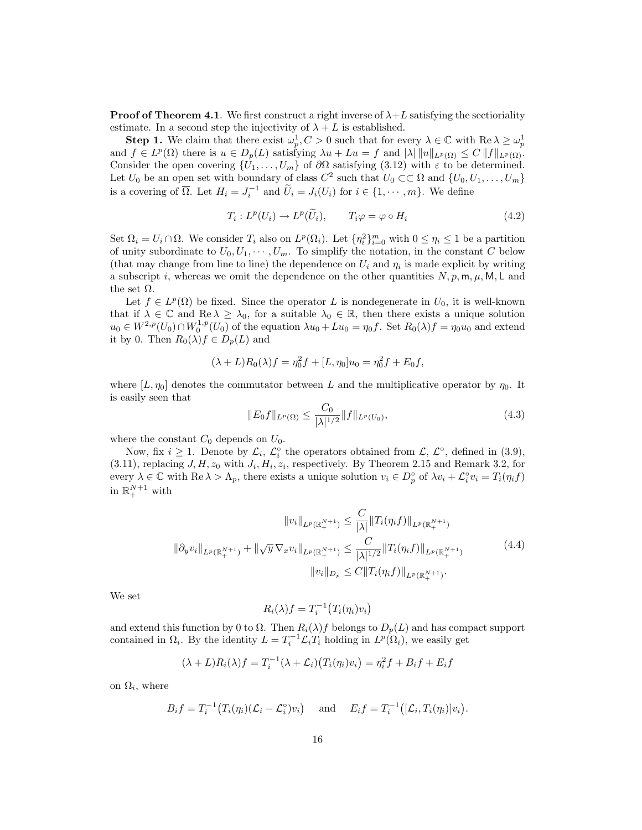**Proof of Theorem 4.1.** We first construct a right inverse of  $\lambda + L$  satisfying the sectioriality estimate. In a second step the injectivity of  $\lambda + L$  is established.

**Step 1.** We claim that there exist  $\omega_p^1, C > 0$  such that for every  $\lambda \in \mathbb{C}$  with  $\text{Re }\lambda \geq \omega_p^1$ and  $f \in L^p(\Omega)$  there is  $u \in D_p(L)$  satisfying  $\lambda u + Lu = f$  and  $|\lambda| ||u||_{L^p(\Omega)} \leq C ||f||_{L^p(\Omega)}$ . Consider the open covering  $\{U_1, \ldots, U_m\}$  of  $\partial\Omega$  satisfying (3.12) with  $\varepsilon$  to be determined. Let  $U_0$  be an open set with boundary of class  $C^2$  such that  $U_0 \subset\subset \Omega$  and  $\{U_0, U_1, \ldots, U_m\}$ is a covering of  $\overline{\Omega}$ . Let  $H_i = J_i^{-1}$  and  $\widetilde{U}_i = J_i(U_i)$  for  $i \in \{1, \dots, m\}$ . We define

$$
T_i: L^p(U_i) \to L^p(\widetilde{U}_i), \qquad T_i \varphi = \varphi \circ H_i \tag{4.2}
$$

Set  $\Omega_i = U_i \cap \Omega$ . We consider  $T_i$  also on  $L^p(\Omega_i)$ . Let  $\{\eta_i^2\}_{i=0}^m$  with  $0 \leq \eta_i \leq 1$  be a partition of unity subordinate to  $U_0, U_1, \cdots, U_m$ . To simplify the notation, in the constant C below (that may change from line to line) the dependence on  $U_i$  and  $\eta_i$  is made explicit by writing a subscript i, whereas we omit the dependence on the other quantities  $N, p, m, \mu, M, L$  and the set  $\Omega$ .

Let  $f \in L^p(\Omega)$  be fixed. Since the operator L is nondegenerate in  $U_0$ , it is well-known that if  $\lambda \in \mathbb{C}$  and  $\text{Re }\lambda \geq \lambda_0$ , for a suitable  $\lambda_0 \in \mathbb{R}$ , then there exists a unique solution  $u_0 \in W^{2,p}(U_0) \cap W_0^{1,p}(U_0)$  of the equation  $\lambda u_0 + Lu_0 = \eta_0 f$ . Set  $R_0(\lambda)f = \eta_0 u_0$  and extend it by 0. Then  $R_0(\lambda) f \in D_p(L)$  and

$$
(\lambda + L)R_0(\lambda)f = \eta_0^2 f + [L, \eta_0]u_0 = \eta_0^2 f + E_0 f,
$$

where  $[L, \eta_0]$  denotes the commutator between L and the multiplicative operator by  $\eta_0$ . It is easily seen that

$$
||E_0 f||_{L^p(\Omega)} \le \frac{C_0}{|\lambda|^{1/2}} ||f||_{L^p(U_0)},
$$
\n(4.3)

where the constant  $C_0$  depends on  $U_0$ .

Now, fix  $i \geq 1$ . Denote by  $\mathcal{L}_i$ ,  $\mathcal{L}_i^{\circ}$  the operators obtained from  $\mathcal{L}, \mathcal{L}^{\circ}$ , defined in (3.9),  $(3.11)$ , replacing J, H,  $z_0$  with  $J_i$ ,  $H_i$ ,  $z_i$ , respectively. By Theorem 2.15 and Remark 3.2, for every  $\lambda \in \mathbb{C}$  with  $\text{Re }\lambda > \Lambda_p$ , there exists a unique solution  $v_i \in D_p^{\circ}$  of  $\lambda v_i + \mathcal{L}_i^{\circ} v_i = T_i(\eta_i f)$ in  $\mathbb{R}^{N+1}_+$  with

$$
||v_i||_{L^p(\mathbb{R}^{N+1}_+)} \leq \frac{C}{|\lambda|} ||T_i(\eta_i f)||_{L^p(\mathbb{R}^{N+1}_+)}
$$
  

$$
||\partial_y v_i||_{L^p(\mathbb{R}^{N+1}_+)} + ||\sqrt{y} \nabla_x v_i||_{L^p(\mathbb{R}^{N+1}_+)} \leq \frac{C}{|\lambda|^{1/2}} ||T_i(\eta_i f)||_{L^p(\mathbb{R}^{N+1}_+)}.
$$
  

$$
||v_i||_{D_p} \leq C ||T_i(\eta_i f)||_{L^p(\mathbb{R}^{N+1}_+)}.
$$
  
(4.4)

We set

$$
R_i(\lambda)f = T_i^{-1}(T_i(\eta_i)v_i)
$$

and extend this function by 0 to  $\Omega$ . Then  $R_i(\lambda)f$  belongs to  $D_p(L)$  and has compact support contained in  $\Omega_i$ . By the identity  $L = T_i^{-1} \mathcal{L}_i T_i$  holding in  $L^p(\Omega_i)$ , we easily get

$$
(\lambda + L)R_i(\lambda)f = T_i^{-1}(\lambda + \mathcal{L}_i)(T_i(\eta_i)v_i) = \eta_i^2f + B_if + E_if
$$

on  $\Omega_i$ , where

$$
B_i f = T_i^{-1} \big( T_i(\eta_i) (\mathcal{L}_i - \mathcal{L}_i^{\circ}) v_i \big) \quad \text{and} \quad E_i f = T_i^{-1} \big( [\mathcal{L}_i, T_i(\eta_i)] v_i \big).
$$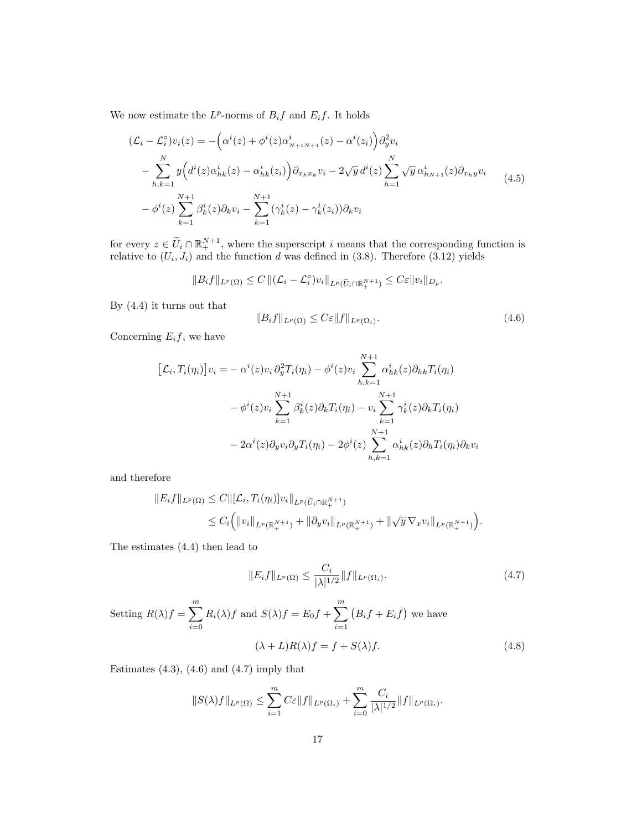We now estimate the  $L^p$ -norms of  $B_i f$  and  $E_i f$ . It holds

$$
(\mathcal{L}_{i} - \mathcal{L}_{i}^{0})v_{i}(z) = -(\alpha^{i}(z) + \phi^{i}(z)\alpha^{i}_{N+1N+1}(z) - \alpha^{i}(z_{i}))\partial_{y}^{2}v_{i}
$$
  

$$
-\sum_{h,k=1}^{N} y(\dot{d}^{i}(z)\alpha^{i}_{hk}(z) - \alpha^{i}_{hk}(z_{i}))\partial_{x_{h}x_{k}}v_{i} - 2\sqrt{y}\,d^{i}(z)\sum_{h=1}^{N}\sqrt{y}\,\alpha^{i}_{hN+1}(z)\partial_{x_{h}y}v_{i}
$$
  

$$
-\phi^{i}(z)\sum_{k=1}^{N+1}\beta^{i}_{k}(z)\partial_{k}v_{i} - \sum_{k=1}^{N+1}(\gamma^{i}_{k}(z) - \gamma^{i}_{k}(z_{i}))\partial_{k}v_{i}
$$
 (4.5)

for every  $z \in \widetilde{U}_i \cap \mathbb{R}^{N+1}_+$ , where the superscript i means that the corresponding function is relative to  $(U_i, J_i)$  and the function d was defined in  $(3.8)$ . Therefore  $(3.12)$  yields

$$
||B_i f||_{L^p(\Omega)} \leq C ||(\mathcal{L}_i - \mathcal{L}_i^{\circ})v_i||_{L^p(\widetilde{U}_i \cap \mathbb{R}^{N+1}_+)} \leq C \varepsilon ||v_i||_{D_p}.
$$

By (4.4) it turns out that

$$
||B_i f||_{L^p(\Omega)} \leq C\varepsilon ||f||_{L^p(\Omega_i)}.
$$
\n(4.6)

Concerning  $E_i f$ , we have

$$
[\mathcal{L}_i, T_i(\eta_i)]v_i = -\alpha^i(z)v_i \partial_y^2 T_i(\eta_i) - \phi^i(z)v_i \sum_{h,k=1}^{N+1} \alpha_{hk}^i(z)\partial_{hk} T_i(\eta_i)
$$

$$
-\phi^i(z)v_i \sum_{k=1}^{N+1} \beta_k^i(z)\partial_k T_i(\eta_i) - v_i \sum_{k=1}^{N+1} \gamma_k^i(z)\partial_k T_i(\eta_i)
$$

$$
-2\alpha^i(z)\partial_y v_i \partial_y T_i(\eta_i) - 2\phi^i(z) \sum_{h,k=1}^{N+1} \alpha_{hk}^i(z)\partial_h T_i(\eta_i)\partial_k v_i
$$

and therefore

$$
||E_i f||_{L^p(\Omega)} \leq C ||[\mathcal{L}_i, T_i(\eta_i)]v_i||_{L^p(\widetilde{U}_i \cap \mathbb{R}^{N+1}_+)}\leq C_i (||v_i||_{L^p(\mathbb{R}^{N+1}_+)} + ||\partial_y v_i||_{L^p(\mathbb{R}^{N+1}_+)} + ||\sqrt{y} \nabla_x v_i||_{L^p(\mathbb{R}^{N+1}_+)}).
$$

The estimates (4.4) then lead to

$$
||E_i f||_{L^p(\Omega)} \le \frac{C_i}{|\lambda|^{1/2}} ||f||_{L^p(\Omega_i)}.
$$
\n(4.7)

Setting 
$$
R(\lambda)f = \sum_{i=0}^{m} R_i(\lambda)f
$$
 and  $S(\lambda)f = E_0f + \sum_{i=1}^{m} (B_i f + E_i f)$  we have  
\n
$$
(\lambda + L)R(\lambda)f = f + S(\lambda)f.
$$
\n(4.8)

Estimates  $(4.3)$ ,  $(4.6)$  and  $(4.7)$  imply that

$$
||S(\lambda)f||_{L^{p}(\Omega)} \leq \sum_{i=1}^{m} C \varepsilon ||f||_{L^{p}(\Omega_{i})} + \sum_{i=0}^{m} \frac{C_{i}}{|\lambda|^{1/2}} ||f||_{L^{p}(\Omega_{i})}.
$$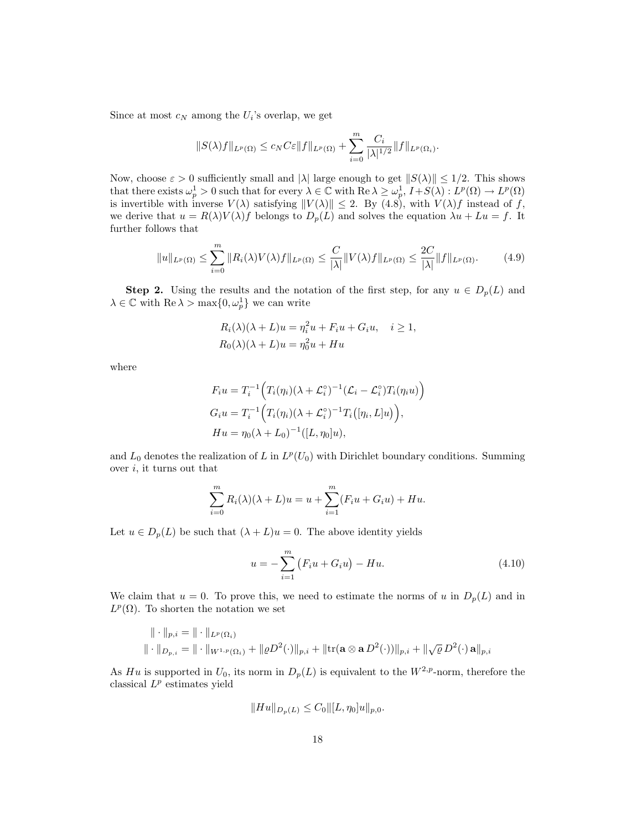Since at most  $c_N$  among the  $U_i$ 's overlap, we get

$$
||S(\lambda)f||_{L^p(\Omega)} \leq c_N C \varepsilon ||f||_{L^p(\Omega)} + \sum_{i=0}^m \frac{C_i}{|\lambda|^{1/2}} ||f||_{L^p(\Omega_i)}.
$$

Now, choose  $\varepsilon > 0$  sufficiently small and  $|\lambda|$  large enough to get  $||S(\lambda)|| \leq 1/2$ . This shows that there exists  $\omega_p^1 > 0$  such that for every  $\lambda \in \mathbb{C}$  with  $\text{Re }\lambda \geq \omega_p^1$ ,  $I + S(\lambda) : L^p(\Omega) \to L^p(\Omega)$ is invertible with inverse  $V(\lambda)$  satisfying  $||V(\lambda)|| \le 2$ . By (4.8), with  $V(\lambda)f$  instead of f, we derive that  $u = R(\lambda)V(\lambda)f$  belongs to  $D_p(L)$  and solves the equation  $\lambda u + Lu = f$ . It further follows that

$$
||u||_{L^p(\Omega)} \le \sum_{i=0}^m ||R_i(\lambda)V(\lambda)f||_{L^p(\Omega)} \le \frac{C}{|\lambda|}||V(\lambda)f||_{L^p(\Omega)} \le \frac{2C}{|\lambda|}||f||_{L^p(\Omega)}.
$$
 (4.9)

**Step 2.** Using the results and the notation of the first step, for any  $u \in D_p(L)$  and  $\lambda \in \mathbb{C}$  with  $\text{Re }\lambda > \max\{0, \omega_p^1\}$  we can write

$$
R_i(\lambda)(\lambda + L)u = \eta_i^2 u + F_i u + G_i u, \quad i \ge 1,
$$
  

$$
R_0(\lambda)(\lambda + L)u = \eta_0^2 u + Hu
$$

where

$$
F_i u = T_i^{-1} (T_i(\eta_i)(\lambda + \mathcal{L}_i^c)^{-1} (\mathcal{L}_i - \mathcal{L}_i^c) T_i(\eta_i u))
$$
  
\n
$$
G_i u = T_i^{-1} (T_i(\eta_i)(\lambda + \mathcal{L}_i^c)^{-1} T_i([\eta_i, L]u)),
$$
  
\n
$$
Hu = \eta_0 (\lambda + L_0)^{-1} ([L, \eta_0]u),
$$

and  $L_0$  denotes the realization of L in  $L^p(U_0)$  with Dirichlet boundary conditions. Summing over  $i$ , it turns out that

$$
\sum_{i=0}^{m} R_i(\lambda)(\lambda + L)u = u + \sum_{i=1}^{m} (F_i u + G_i u) + Hu.
$$

Let  $u \in D_p(L)$  be such that  $(\lambda + L)u = 0$ . The above identity yields

$$
u = -\sum_{i=1}^{m} (F_i u + G_i u) - Hu.
$$
 (4.10)

We claim that  $u = 0$ . To prove this, we need to estimate the norms of u in  $D_p(L)$  and in  $L^p(\Omega)$ . To shorten the notation we set

$$
\|\cdot\|_{p,i} = \|\cdot\|_{L^p(\Omega_i)}
$$
  

$$
\|\cdot\|_{D_{p,i}} = \|\cdot\|_{W^{1,p}(\Omega_i)} + \|\varrho D^2(\cdot)\|_{p,i} + \|\text{tr}(\mathbf{a} \otimes \mathbf{a} D^2(\cdot))\|_{p,i} + \|\sqrt{\varrho} D^2(\cdot) \mathbf{a}\|_{p,i}
$$

As Hu is supported in  $U_0$ , its norm in  $D_p(L)$  is equivalent to the  $W^{2,p}$ -norm, therefore the classical  $L^p$  estimates yield

$$
||Hu||_{D_p(L)} \leq C_0 ||[L, \eta_0]u||_{p,0}.
$$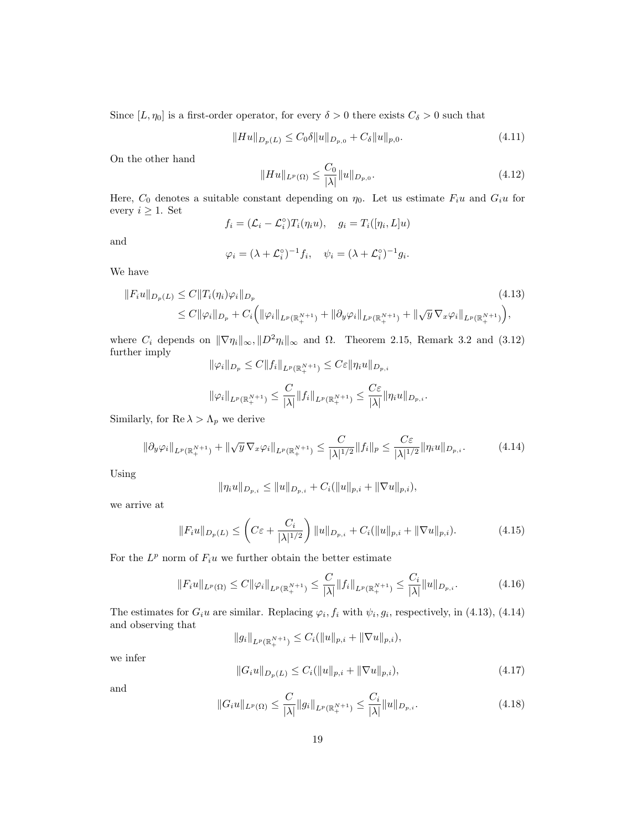Since  $[L, \eta_0]$  is a first-order operator, for every  $\delta > 0$  there exists  $C_{\delta} > 0$  such that

$$
||Hu||_{D_p(L)} \leq C_0 \delta ||u||_{D_{p,0}} + C_\delta ||u||_{p,0}.
$$
\n(4.11)

On the other hand

$$
||Hu||_{L^p(\Omega)} \le \frac{C_0}{|\lambda|} ||u||_{D_{p,0}}.
$$
\n(4.12)

Here,  $C_0$  denotes a suitable constant depending on  $\eta_0$ . Let us estimate  $F_i u$  and  $G_i u$  for every  $i \geq 1$ . Set

$$
f_i = (\mathcal{L}_i - \mathcal{L}_i^{\circ}) T_i(\eta_i u), \quad g_i = T_i([\eta_i, L]u)
$$

and

$$
\varphi_i = (\lambda + \mathcal{L}_i^{\circ})^{-1} f_i, \quad \psi_i = (\lambda + \mathcal{L}_i^{\circ})^{-1} g_i.
$$

We have

$$
\|F_i u\|_{D_p(L)} \le C \|T_i(\eta_i)\varphi_i\|_{D_p} \tag{4.13}
$$
  

$$
\le C \|\varphi_i\|_{D_p} + C_i \Big( \|\varphi_i\|_{L^p(\mathbb{R}^{N+1}_+)} + \|\partial_y \varphi_i\|_{L^p(\mathbb{R}^{N+1}_+)} + \|\sqrt{y} \nabla_x \varphi_i\|_{L^p(\mathbb{R}^{N+1}_+)} \Big),
$$

where  $C_i$  depends on  $\|\nabla \eta_i\|_{\infty}, \|D^2 \eta_i\|_{\infty}$  and  $\Omega$ . Theorem 2.15, Remark 3.2 and (3.12) further imply

$$
\|\varphi_i\|_{D_p} \le C \|f_i\|_{L^p(\mathbb{R}^{N+1}_+)} \le C\varepsilon \|\eta_i u\|_{D_{p,i}}
$$
  

$$
\|\varphi_i\|_{L^p(\mathbb{R}^{N+1}_+)} \le \frac{C}{|\lambda|} \|f_i\|_{L^p(\mathbb{R}^{N+1}_+)} \le \frac{C\varepsilon}{|\lambda|} \|\eta_i u\|_{D_{p,i}}.
$$

Similarly, for  $\mathrm{Re\,}\lambda>\Lambda_p$  we derive

$$
\|\partial_y \varphi_i\|_{L^p(\mathbb{R}^{N+1}_+)} + \|\sqrt{y} \, \nabla_x \varphi_i\|_{L^p(\mathbb{R}^{N+1}_+)} \le \frac{C}{|\lambda|^{1/2}} \|f_i\|_p \le \frac{C\varepsilon}{|\lambda|^{1/2}} \|\eta_i u\|_{D_{p,i}}.
$$
\n(4.14)

Using

$$
\|\eta_i u\|_{D_{p,i}} \leq \|u\|_{D_{p,i}} + C_i(\|u\|_{p,i} + \|\nabla u\|_{p,i}),
$$

we arrive at

$$
||F_i u||_{D_p(L)} \leq \left( C\varepsilon + \frac{C_i}{|\lambda|^{1/2}} \right) ||u||_{D_{p,i}} + C_i (||u||_{p,i} + ||\nabla u||_{p,i}). \tag{4.15}
$$

For the  $L^p$  norm of  $F_i u$  we further obtain the better estimate

$$
||F_i u||_{L^p(\Omega)} \le C ||\varphi_i||_{L^p(\mathbb{R}_+^{N+1})} \le \frac{C}{|\lambda|} ||f_i||_{L^p(\mathbb{R}_+^{N+1})} \le \frac{C_i}{|\lambda|} ||u||_{D_{p,i}}.
$$
\n(4.16)

The estimates for  $G_i u$  are similar. Replacing  $\varphi_i, f_i$  with  $\psi_i, g_i$ , respectively, in (4.13), (4.14) and observing that

$$
||g_i||_{L^p(\mathbb{R}^{N+1}_+)} \leq C_i(||u||_{p,i} + ||\nabla u||_{p,i}),
$$

we infer

$$
||G_i u||_{D_p(L)} \le C_i (||u||_{p,i} + ||\nabla u||_{p,i}),
$$
\n(4.17)

and

$$
||G_i u||_{L^p(\Omega)} \le \frac{C}{|\lambda|} ||g_i||_{L^p(\mathbb{R}^{N+1}_+)} \le \frac{C_i}{|\lambda|} ||u||_{D_{p,i}}.
$$
\n(4.18)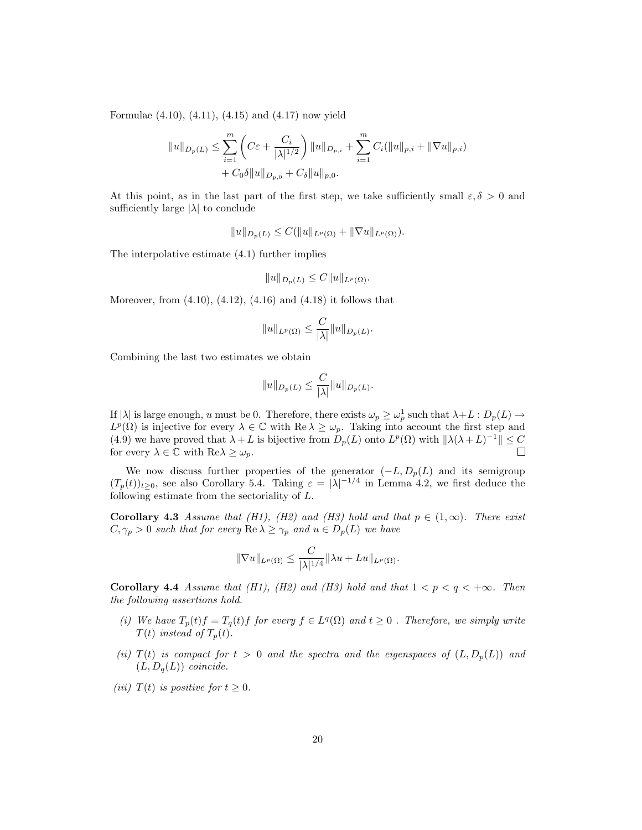Formulae (4.10), (4.11), (4.15) and (4.17) now yield

$$
||u||_{D_p(L)} \leq \sum_{i=1}^m \left( C\varepsilon + \frac{C_i}{|\lambda|^{1/2}} \right) ||u||_{D_{p,i}} + \sum_{i=1}^m C_i (||u||_{p,i} + ||\nabla u||_{p,i})
$$
  
+  $C_0 \delta ||u||_{D_{p,0}} + C_\delta ||u||_{p,0}.$ 

At this point, as in the last part of the first step, we take sufficiently small  $\varepsilon, \delta > 0$  and sufficiently large  $|\lambda|$  to conclude

$$
||u||_{D_p(L)} \leq C(||u||_{L^p(\Omega)} + ||\nabla u||_{L^p(\Omega)}).
$$

The interpolative estimate (4.1) further implies

$$
||u||_{D_p(L)} \leq C||u||_{L^p(\Omega)}.
$$

Moreover, from (4.10), (4.12), (4.16) and (4.18) it follows that

$$
||u||_{L^p(\Omega)} \leq \frac{C}{|\lambda|} ||u||_{D_p(L)}.
$$

Combining the last two estimates we obtain

$$
||u||_{D_p(L)} \leq \frac{C}{|\lambda|} ||u||_{D_p(L)}.
$$

If  $|\lambda|$  is large enough, u must be 0. Therefore, there exists  $\omega_p \geq \omega_p^1$  such that  $\lambda + L : D_p(L) \to$  $L^p(\Omega)$  is injective for every  $\lambda \in \mathbb{C}$  with  $\text{Re }\lambda \geq \omega_p$ . Taking into account the first step and (4.9) we have proved that  $\lambda + L$  is bijective from  $D_p(L)$  onto  $L^p(\Omega)$  with  $\|\lambda(\lambda + L)^{-1}\| \leq C$ for every  $\lambda \in \mathbb{C}$  with  $\text{Re}\lambda \geq \omega_p$ .  $\Box$ 

We now discuss further properties of the generator  $(-L, D_p(L))$  and its semigroup  $(T_p(t))_{t\geq0}$ , see also Corollary 5.4. Taking  $\varepsilon = |\lambda|^{-1/4}$  in Lemma 4.2, we first deduce the following estimate from the sectoriality of L.

**Corollary 4.3** Assume that (H1), (H2) and (H3) hold and that  $p \in (1,\infty)$ . There exist  $C, \gamma_p > 0$  such that for every  $\text{Re }\lambda \geq \gamma_p$  and  $u \in D_p(L)$  we have

$$
\|\nabla u\|_{L^p(\Omega)} \le \frac{C}{|\lambda|^{1/4}} \|\lambda u + Lu\|_{L^p(\Omega)}.
$$

Corollary 4.4 Assume that (H1), (H2) and (H3) hold and that  $1 < p < q < +\infty$ . Then the following assertions hold.

- (i) We have  $T_p(t)f = T_q(t)f$  for every  $f \in L^q(\Omega)$  and  $t \geq 0$ . Therefore, we simply write  $T(t)$  instead of  $T_p(t)$ .
- (ii)  $T(t)$  is compact for  $t > 0$  and the spectra and the eigenspaces of  $(L, D_p(L))$  and  $(L, D_q(L))$  coincide.
- (iii)  $T(t)$  is positive for  $t \geq 0$ .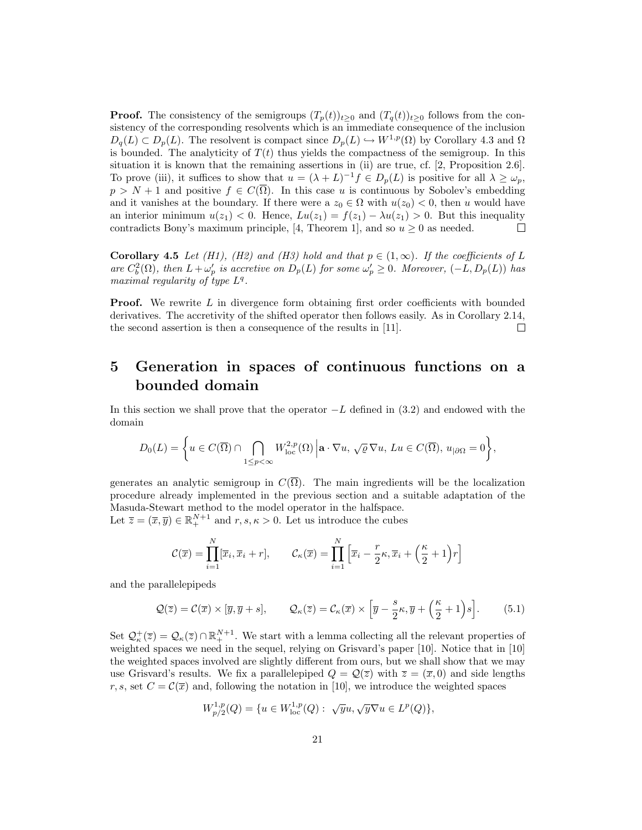**Proof.** The consistency of the semigroups  $(T_p(t))_{t>0}$  and  $(T_q(t))_{t>0}$  follows from the consistency of the corresponding resolvents which is an immediate consequence of the inclusion  $D_q(L) \subset D_p(L)$ . The resolvent is compact since  $D_p(L) \hookrightarrow W^{1,p}(\Omega)$  by Corollary 4.3 and  $\Omega$ is bounded. The analyticity of  $T(t)$  thus yields the compactness of the semigroup. In this situation it is known that the remaining assertions in (ii) are true, cf. [2, Proposition 2.6]. To prove (iii), it suffices to show that  $u = (\lambda + L)^{-1} f \in D_p(L)$  is positive for all  $\lambda \geq \omega_p$ ,  $p > N + 1$  and positive  $f \in C(\overline{\Omega})$ . In this case u is continuous by Sobolev's embedding and it vanishes at the boundary. If there were a  $z_0 \in \Omega$  with  $u(z_0) < 0$ , then u would have an interior minimum  $u(z_1) < 0$ . Hence,  $Lu(z_1) = f(z_1) - \lambda u(z_1) > 0$ . But this inequality contradicts Bony's maximum principle, [4, Theorem 1], and so  $u \geq 0$  as needed. П

**Corollary 4.5** Let (H1), (H2) and (H3) hold and that  $p \in (1,\infty)$ . If the coefficients of L are  $C_b^2(\Omega)$ , then  $L + \omega_p'$  is accretive on  $D_p(L)$  for some  $\omega_p' \geq 0$ . Moreover,  $(-L, D_p(L))$  has maximal regularity of type  $L^q$ .

**Proof.** We rewrite L in divergence form obtaining first order coefficients with bounded derivatives. The accretivity of the shifted operator then follows easily. As in Corollary 2.14, the second assertion is then a consequence of the results in [11].  $\Box$ 

## 5 Generation in spaces of continuous functions on a bounded domain

In this section we shall prove that the operator  $-L$  defined in (3.2) and endowed with the domain

$$
D_0(L) = \bigg\{ u \in C(\overline{\Omega}) \cap \bigcap_{1 \le p < \infty} W^{2,p}_{\text{loc}}(\Omega) \bigg| \mathbf{a} \cdot \nabla u, \sqrt{\varrho} \nabla u, Lu \in C(\overline{\Omega}), u_{|\partial\Omega} = 0 \bigg\},
$$

generates an analytic semigroup in  $C(\overline{\Omega})$ . The main ingredients will be the localization procedure already implemented in the previous section and a suitable adaptation of the Masuda-Stewart method to the model operator in the halfspace.

Let  $\overline{z} = (\overline{x}, \overline{y}) \in \mathbb{R}^{N+1}_+$  and  $r, s, \kappa > 0$ . Let us introduce the cubes

$$
\mathcal{C}(\overline{x}) = \prod_{i=1}^{N} [\overline{x}_i, \overline{x}_i + r], \qquad \mathcal{C}_{\kappa}(\overline{x}) = \prod_{i=1}^{N} [\overline{x}_i - \frac{r}{2}\kappa, \overline{x}_i + (\frac{\kappa}{2} + 1)r]
$$

and the parallelepipeds

$$
\mathcal{Q}(\overline{z}) = \mathcal{C}(\overline{x}) \times [\overline{y}, \overline{y} + s], \qquad \mathcal{Q}_{\kappa}(\overline{z}) = \mathcal{C}_{\kappa}(\overline{x}) \times [\overline{y} - \frac{s}{2}\kappa, \overline{y} + (\frac{\kappa}{2} + 1)s]. \tag{5.1}
$$

Set  $\mathcal{Q}_{\kappa}^+(\overline{z}) = \mathcal{Q}_{\kappa}(\overline{z}) \cap \mathbb{R}^{N+1}_+$ . We start with a lemma collecting all the relevant properties of weighted spaces we need in the sequel, relying on Grisvard's paper [10]. Notice that in [10] the weighted spaces involved are slightly different from ours, but we shall show that we may use Grisvard's results. We fix a parallelepiped  $Q = \mathcal{Q}(\overline{z})$  with  $\overline{z} = (\overline{x}, 0)$  and side lengths r, s, set  $C = \mathcal{C}(\overline{x})$  and, following the notation in [10], we introduce the weighted spaces

$$
W^{1,p}_{p/2}(Q)=\{u\in W^{1,p}_{\rm loc}(Q):\ \sqrt{y}u,\sqrt{y}\nabla u\in L^p(Q)\},
$$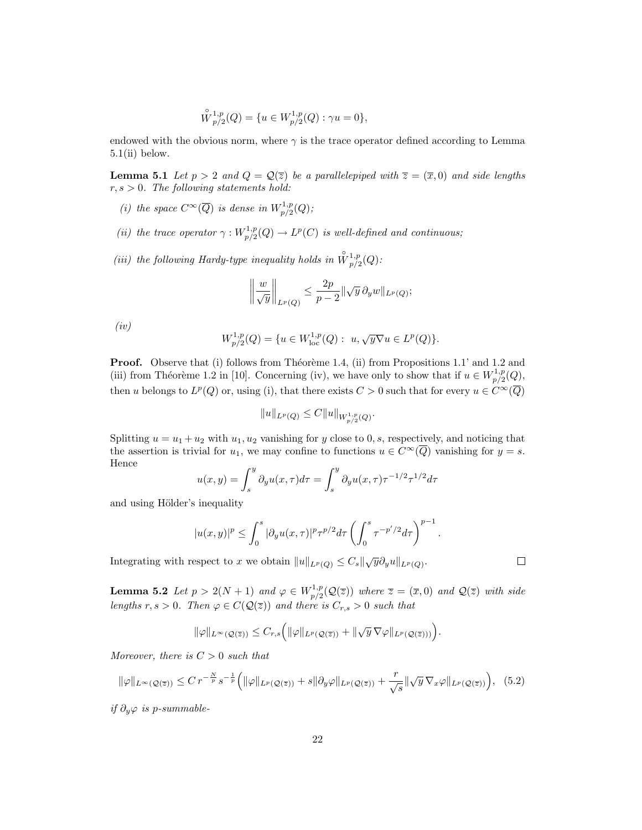$$
\overset{\circ}{W}{}^{1,p}_{p/2}(Q) = \{ u \in W^{1,p}_{p/2}(Q) : \gamma u = 0 \},
$$

endowed with the obvious norm, where  $\gamma$  is the trace operator defined according to Lemma  $5.1(i)$  below.

**Lemma 5.1** Let  $p > 2$  and  $Q = \mathcal{Q}(\overline{z})$  be a parallelepiped with  $\overline{z} = (\overline{x}, 0)$  and side lengths  $r, s > 0$ . The following statements hold:

- (i) the space  $C^{\infty}(\overline{Q})$  is dense in  $W^{1,p}_{n/2}$  $\Gamma^{1,p}_{p/2}(Q)$  ;
- (*ii*) the trace operator  $\gamma: W^{1,p}_{n/2}$  $L^{1,p}_{p/2}(Q) \rightarrow L^p(C)$  is well-defined and continuous;
- (iii) the following Hardy-type inequality holds in  $\mathring{W}_{p/2}^{1,p}$  $_{p/2}^{\scriptscriptstyle{1,p}}(Q)$  :

$$
\left\|\frac{w}{\sqrt{y}}\right\|_{L^p(Q)} \le \frac{2p}{p-2} \|\sqrt{y}\,\partial_y w\|_{L^p(Q)};
$$

(iv)

$$
W^{1,p}_{p/2}(Q) = \{ u \in W^{1,p}_{loc}(Q): u, \sqrt{y} \nabla u \in L^p(Q) \}.
$$

**Proof.** Observe that (i) follows from Théorème 1.4, (ii) from Propositions 1.1' and 1.2 and (iii) from Théorème 1.2 in [10]. Concerning (iv), we have only to show that if  $u \in W^{1,p}_{n/2}$  $_{p/2}^{1,p}(Q),$ then u belongs to  $L^p(Q)$  or, using (i), that there exists  $C > 0$  such that for every  $u \in C^{\infty}(\overline{Q})$ 

$$
||u||_{L^p(Q)} \leq C||u||_{W^{1,p}_{p/2}(Q)}.
$$

Splitting  $u = u_1 + u_2$  with  $u_1, u_2$  vanishing for y close to 0, s, respectively, and noticing that the assertion is trivial for  $u_1$ , we may confine to functions  $u \in C^{\infty}(\overline{Q})$  vanishing for  $y = s$ . Hence

$$
u(x,y) = \int_s^y \partial_y u(x,\tau) d\tau = \int_s^y \partial_y u(x,\tau) \tau^{-1/2} \tau^{1/2} d\tau
$$

and using Hölder's inequality

$$
|u(x,y)|^p \le \int_0^s |\partial_y u(x,\tau)|^p \tau^{p/2} d\tau \left(\int_0^s \tau^{-p'/2} d\tau\right)^{p-1}
$$

Integrating with respect to x we obtain  $||u||_{L^p(Q)} \leq C_s ||\sqrt{y} \partial_y u||_{L^p(Q)}$ .

**Lemma 5.2** Let  $p > 2(N + 1)$  and  $\varphi \in W^{1,p}_{n/2}$  $p_{p/2}^{(1,p)}(\mathcal{Q}(\overline{z}))$  where  $\overline{z} = (\overline{x},0)$  and  $\mathcal{Q}(\overline{z})$  with side lengths r, s > 0. Then  $\varphi \in C(\mathcal{Q}(\overline{z}))$  and there is  $C_{r,s} > 0$  such that

$$
\|\varphi\|_{L^{\infty}(\mathcal{Q}(\overline{z}))} \leq C_{r,s} \Big( \|\varphi\|_{L^{p}(\mathcal{Q}(\overline{z}))} + \|\sqrt{y} \,\nabla \varphi\|_{L^{p}(\mathcal{Q}(\overline{z})))} \Big).
$$

Moreover, there is  $C > 0$  such that

$$
\|\varphi\|_{L^{\infty}(\mathcal{Q}(\overline{z}))} \leq C r^{-\frac{N}{p}} s^{-\frac{1}{p}} \Big( \|\varphi\|_{L^{p}(\mathcal{Q}(\overline{z}))} + s \|\partial_y \varphi\|_{L^{p}(\mathcal{Q}(\overline{z}))} + \frac{r}{\sqrt{s}} \|\sqrt{y} \nabla_x \varphi\|_{L^{p}(\mathcal{Q}(\overline{z}))} \Big), \quad (5.2)
$$

if  $∂<sub>y</sub>ϕ$  is p-summable-

 $\Box$ 

.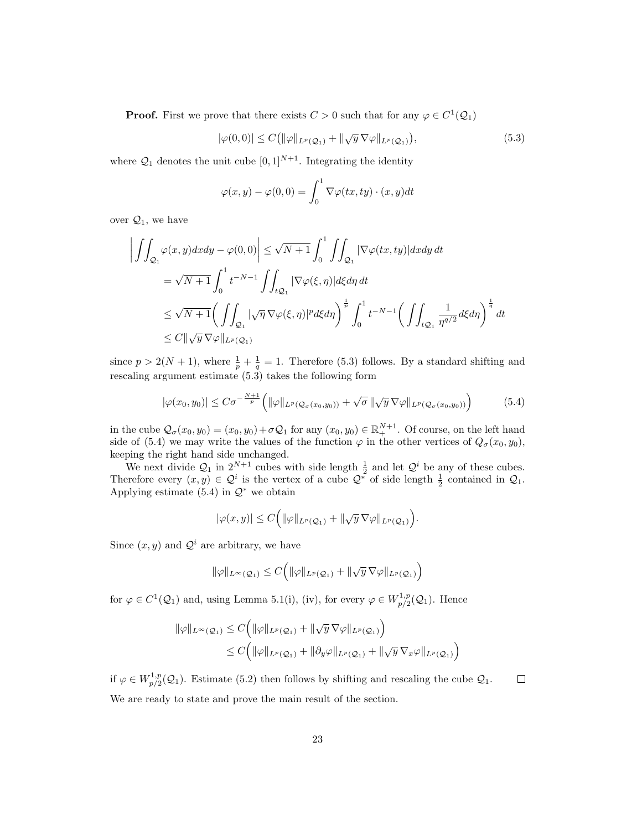**Proof.** First we prove that there exists  $C > 0$  such that for any  $\varphi \in C^1(\mathcal{Q}_1)$ 

$$
|\varphi(0,0)| \le C \left( \|\varphi\|_{L^p(\mathcal{Q}_1)} + \|\sqrt{y} \,\nabla \varphi\|_{L^p(\mathcal{Q}_1)} \right),\tag{5.3}
$$

where  $\mathcal{Q}_1$  denotes the unit cube  $[0, 1]^{N+1}$ . Integrating the identity

$$
\varphi(x,y) - \varphi(0,0) = \int_0^1 \nabla \varphi(tx,ty) \cdot (x,y) dt
$$

over  $\mathcal{Q}_1$ , we have

$$
\left| \iint_{\mathcal{Q}_1} \varphi(x, y) dx dy - \varphi(0, 0) \right| \le \sqrt{N+1} \int_0^1 \iint_{\mathcal{Q}_1} |\nabla \varphi(tx, ty)| dx dy dt
$$
  
\n
$$
= \sqrt{N+1} \int_0^1 t^{-N-1} \iint_{t\mathcal{Q}_1} |\nabla \varphi(\xi, \eta)| d\xi d\eta dt
$$
  
\n
$$
\le \sqrt{N+1} \bigg( \iint_{\mathcal{Q}_1} |\sqrt{\eta} \nabla \varphi(\xi, \eta)|^p d\xi d\eta \bigg)^{\frac{1}{p}} \int_0^1 t^{-N-1} \bigg( \iint_{t\mathcal{Q}_1} \frac{1}{\eta^{q/2}} d\xi d\eta \bigg)^{\frac{1}{q}} dt
$$
  
\n
$$
\le C \|\sqrt{y} \nabla \varphi\|_{L^p(\mathcal{Q}_1)}
$$

since  $p > 2(N + 1)$ , where  $\frac{1}{p} + \frac{1}{q} = 1$ . Therefore (5.3) follows. By a standard shifting and rescaling argument estimate (5.3) takes the following form

$$
|\varphi(x_0, y_0)| \leq C\sigma^{-\frac{N+1}{p}} \left( \|\varphi\|_{L^p(\mathcal{Q}_{\sigma}(x_0, y_0))} + \sqrt{\sigma} \|\sqrt{y} \,\nabla \varphi\|_{L^p(\mathcal{Q}_{\sigma}(x_0, y_0))} \right) \tag{5.4}
$$

in the cube  $\mathcal{Q}_{\sigma}(x_0, y_0) = (x_0, y_0) + \sigma \mathcal{Q}_1$  for any  $(x_0, y_0) \in \mathbb{R}^{N+1}_+$ . Of course, on the left hand side of (5.4) we may write the values of the function  $\varphi$  in the other vertices of  $Q_{\sigma}(x_0, y_0)$ , keeping the right hand side unchanged.

We next divide  $Q_1$  in  $2^{N+1}$  cubes with side length  $\frac{1}{2}$  and let  $Q^i$  be any of these cubes. Therefore every  $(x, y) \in \mathcal{Q}^i$  is the vertex of a cube  $\mathcal{Q}^*$  of side length  $\frac{1}{2}$  contained in  $\mathcal{Q}_1$ . Applying estimate  $(5.4)$  in  $\mathcal{Q}^*$  we obtain

$$
|\varphi(x,y)|\leq C\Big(\|\varphi\|_{L^p(\mathcal{Q}_1)}+\|\sqrt{y}\,\nabla\varphi\|_{L^p(\mathcal{Q}_1)}\Big).
$$

Since  $(x, y)$  and  $\mathcal{Q}^i$  are arbitrary, we have

$$
\|\varphi\|_{L^{\infty}(\mathcal{Q}_{1})} \leq C\Big(\|\varphi\|_{L^{p}(\mathcal{Q}_{1})}+\|\sqrt{y}\,\nabla\varphi\|_{L^{p}(\mathcal{Q}_{1})}\Big)
$$

for  $\varphi \in C^1(\mathcal{Q}_1)$  and, using Lemma 5.1(i), (iv), for every  $\varphi \in W^{1,p}_{n/2}$  $p_1^{(1,p)}(Q_1)$ . Hence

$$
\|\varphi\|_{L^{\infty}(\mathcal{Q}_1)} \leq C \Big( \|\varphi\|_{L^p(\mathcal{Q}_1)} + \|\sqrt{y} \,\nabla \varphi\|_{L^p(\mathcal{Q}_1)} \Big) \leq C \Big( \|\varphi\|_{L^p(\mathcal{Q}_1)} + \|\partial_y \varphi\|_{L^p(\mathcal{Q}_1)} + \|\sqrt{y} \,\nabla_x \varphi\|_{L^p(\mathcal{Q}_1)} \Big)
$$

if  $\varphi \in W^{1,p}_{n/2}$  $\Box$  $p_{p/2}^{(1,p)}(Q_1)$ . Estimate (5.2) then follows by shifting and rescaling the cube  $Q_1$ . We are ready to state and prove the main result of the section.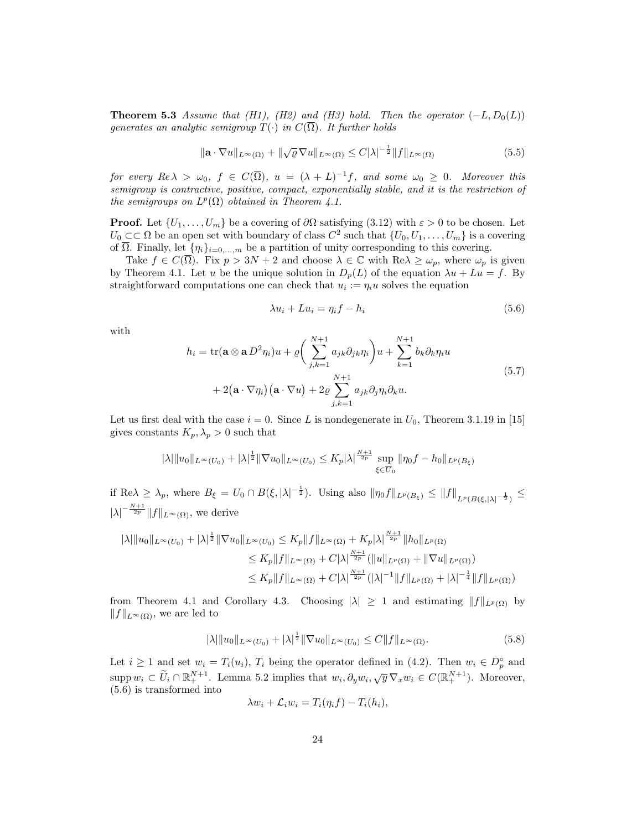**Theorem 5.3** Assume that (H1), (H2) and (H3) hold. Then the operator  $(-L, D_0(L))$ generates an analytic semigroup  $T(\cdot)$  in  $C(\overline{\Omega})$ . It further holds

$$
\|\mathbf{a} \cdot \nabla u\|_{L^{\infty}(\Omega)} + \|\sqrt{\varrho} \nabla u\|_{L^{\infty}(\Omega)} \le C|\lambda|^{-\frac{1}{2}} \|f\|_{L^{\infty}(\Omega)}
$$
(5.5)

for every  $Re \lambda > \omega_0$ ,  $f \in C(\overline{\Omega})$ ,  $u = (\lambda + L)^{-1}f$ , and some  $\omega_0 \geq 0$ . Moreover this semigroup is contractive, positive, compact, exponentially stable, and it is the restriction of the semigroups on  $L^p(\Omega)$  obtained in Theorem 4.1.

**Proof.** Let  $\{U_1, \ldots, U_m\}$  be a covering of  $\partial\Omega$  satisfying  $(3.12)$  with  $\varepsilon > 0$  to be chosen. Let  $U_0 \subset\subset \Omega$  be an open set with boundary of class  $C^2$  such that  $\{U_0, U_1, \ldots, U_m\}$  is a covering of  $\overline{\Omega}$ . Finally, let  $\{\eta_i\}_{i=0,\dots,m}$  be a partition of unity corresponding to this covering.

Take  $f \in C(\overline{\Omega})$ . Fix  $p > 3N + 2$  and choose  $\lambda \in \mathbb{C}$  with  $\text{Re }\lambda \geq \omega_p$ , where  $\omega_p$  is given by Theorem 4.1. Let u be the unique solution in  $D_p(L)$  of the equation  $\lambda u + Lu = f$ . By straightforward computations one can check that  $u_i := \eta_i u$  solves the equation

$$
\lambda u_i + L u_i = \eta_i f - h_i \tag{5.6}
$$

with

$$
h_i = \text{tr}(\mathbf{a} \otimes \mathbf{a} D^2 \eta_i) u + \varrho \bigg( \sum_{j,k=1}^{N+1} a_{jk} \partial_{jk} \eta_i \bigg) u + \sum_{k=1}^{N+1} b_k \partial_k \eta_i u
$$
  
+ 2(\mathbf{a} \cdot \nabla \eta\_i) (\mathbf{a} \cdot \nabla u) + 2\varrho \sum\_{j,k=1}^{N+1} a\_{jk} \partial\_j \eta\_i \partial\_k u. \tag{5.7}

Let us first deal with the case  $i = 0$ . Since L is nondegenerate in  $U_0$ , Theorem 3.1.19 in [15] gives constants  $K_p, \lambda_p > 0$  such that

$$
|\lambda| \|u_0\|_{L^{\infty}(U_0)} + |\lambda|^{\frac{1}{2}} \|\nabla u_0\|_{L^{\infty}(U_0)} \le K_p |\lambda|^{\frac{N+1}{2p}} \sup_{\xi \in \overline{U}_0} \|\eta_0 f - h_0\|_{L^p(B_{\xi})}
$$

if Re $\lambda \geq \lambda_p$ , where  $B_{\xi} = U_0 \cap B(\xi, |\lambda|^{-\frac{1}{2}})$ . Using also  $\|\eta_0 f\|_{L^p(B_{\xi})} \leq \|f\|_{L^p(B(\xi, |\lambda|^{-\frac{1}{2}})} \leq$  $|\lambda|^{-\frac{N+1}{2p}} \|f\|_{L^{\infty}(\Omega)}$ , we derive

$$
\begin{aligned} |\lambda| \|u_0\|_{L^{\infty}(U_0)} + |\lambda|^{\frac{1}{2}} \|\nabla u_0\|_{L^{\infty}(U_0)} &\leq K_p \|f\|_{L^{\infty}(\Omega)} + K_p |\lambda|^{\frac{N+1}{2p}} \|h_0\|_{L^p(\Omega)} \\ &\leq K_p \|f\|_{L^{\infty}(\Omega)} + C|\lambda|^{\frac{N+1}{2p}} (\|u\|_{L^p(\Omega)} + \|\nabla u\|_{L^p(\Omega)}) \\ &\leq K_p \|f\|_{L^{\infty}(\Omega)} + C|\lambda|^{\frac{N+1}{2p}} (\|\lambda|^{-1} \|f\|_{L^p(\Omega)} + |\lambda|^{-\frac{1}{4}} \|f\|_{L^p(\Omega)}) \end{aligned}
$$

from Theorem 4.1 and Corollary 4.3. Choosing  $|\lambda| \ge 1$  and estimating  $||f||_{L^p(\Omega)}$  by  $||f||_{L^{\infty}(\Omega)}$ , we are led to

$$
|\lambda| \|u_0\|_{L^{\infty}(U_0)} + |\lambda|^{\frac{1}{2}} \|\nabla u_0\|_{L^{\infty}(U_0)} \le C \|f\|_{L^{\infty}(\Omega)}.
$$
\n(5.8)

Let  $i \geq 1$  and set  $w_i = T_i(u_i)$ ,  $T_i$  being the operator defined in (4.2). Then  $w_i \in D_p^{\circ}$  and  $\sup_{u_i \in U_i} w_i \subset \widetilde{U}_i \cap \mathbb{R}^{N+1}_{+}$ . Lemma 5.2 implies that  $w_i, \partial_y w_i, \sqrt{y} \nabla_x w_i \in C(\mathbb{R}^{N+1}_{+})$ . Moreover, (5.6) is transformed into

$$
\lambda w_i + \mathcal{L}_i w_i = T_i(\eta_i f) - T_i(h_i),
$$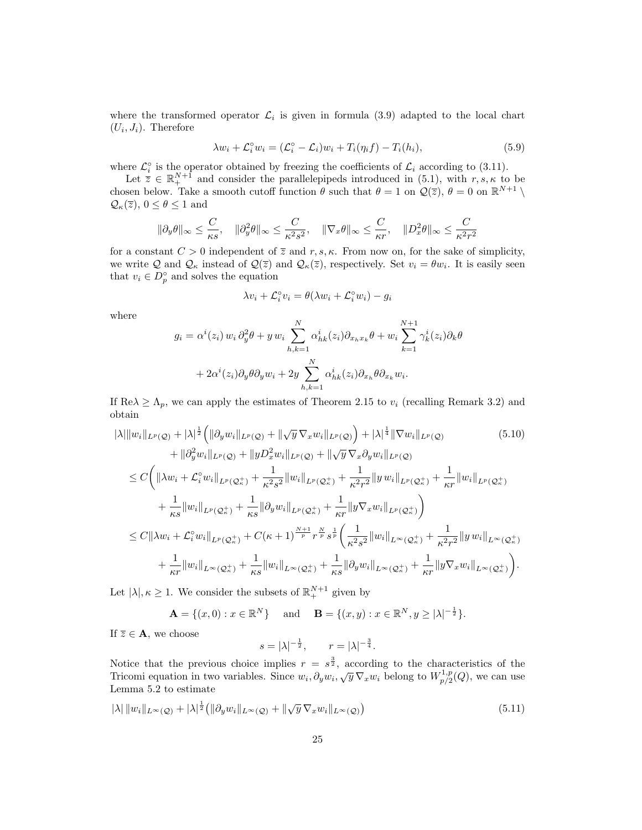where the transformed operator  $\mathcal{L}_i$  is given in formula (3.9) adapted to the local chart  $(U_i, J_i)$ . Therefore

$$
\lambda w_i + \mathcal{L}_i^{\circ} w_i = (\mathcal{L}_i^{\circ} - \mathcal{L}_i) w_i + T_i(\eta_i f) - T_i(h_i),
$$
\n(5.9)

where  $\mathcal{L}_i^{\circ}$  is the operator obtained by freezing the coefficients of  $\mathcal{L}_i$  according to (3.11).

Let  $\bar{z} \in \mathbb{R}^{N+1}_+$  and consider the parallelepipeds introduced in (5.1), with  $r, s, \kappa$  to be chosen below. Take a smooth cutoff function  $\theta$  such that  $\theta = 1$  on  $\mathcal{Q}(\overline{z})$ ,  $\theta = 0$  on  $\mathbb{R}^{N+1} \setminus$  $\mathcal{Q}_{\kappa}(\overline{z}), 0 \le \theta \le 1$  and

$$
\|\partial_y \theta\|_{\infty} \leq \frac{C}{\kappa s}, \quad \|\partial_y^2 \theta\|_{\infty} \leq \frac{C}{\kappa^2 s^2}, \quad \|\nabla_x \theta\|_{\infty} \leq \frac{C}{\kappa r}, \quad \|D_x^2 \theta\|_{\infty} \leq \frac{C}{\kappa^2 r^2}
$$

for a constant  $C > 0$  independent of  $\overline{z}$  and  $r, s, \kappa$ . From now on, for the sake of simplicity, we write Q and  $\mathcal{Q}_{\kappa}$  instead of  $\mathcal{Q}(\overline{z})$  and  $\mathcal{Q}_{\kappa}(\overline{z})$ , respectively. Set  $v_i = \theta w_i$ . It is easily seen that  $v_i \in D_p^{\circ}$  and solves the equation

$$
\lambda v_i + \mathcal{L}_i^\circ v_i = \theta(\lambda w_i + \mathcal{L}_i^\circ w_i) - g_i
$$

where

$$
g_i = \alpha^i(z_i) w_i \partial_y^2 \theta + y w_i \sum_{h,k=1}^N \alpha_{hk}^i(z_i) \partial_{x_h x_k} \theta + w_i \sum_{k=1}^{N+1} \gamma_k^i(z_i) \partial_k \theta
$$

$$
+ 2\alpha^i(z_i) \partial_y \theta \partial_y w_i + 2y \sum_{h,k=1}^N \alpha_{hk}^i(z_i) \partial_{x_h} \theta \partial_{x_k} w_i.
$$

If  $\text{Re}\lambda \geq \Lambda_p$ , we can apply the estimates of Theorem 2.15 to  $v_i$  (recalling Remark 3.2) and obtain

$$
|\lambda| \|w_i\|_{L^p(\mathcal{Q})} + |\lambda|^{\frac{1}{2}} \Big( \| \partial_y w_i \|_{L^p(\mathcal{Q})} + \| \sqrt{y} \nabla_x w_i \|_{L^p(\mathcal{Q})} \Big) + |\lambda|^{\frac{1}{4}} \| \nabla w_i \|_{L^p(\mathcal{Q})}
$$
(5.10)  
+ 
$$
\| \partial_y^2 w_i \|_{L^p(\mathcal{Q})} + \| y D_x^2 w_i \|_{L^p(\mathcal{Q})} + \| \sqrt{y} \nabla_x \partial_y w_i \|_{L^p(\mathcal{Q})}
$$
  

$$
\leq C \Big( \| \lambda w_i + \mathcal{L}_i^{\circ} w_i \|_{L^p(\mathcal{Q}_n^+)} + \frac{1}{\kappa^2 s^2} \| w_i \|_{L^p(\mathcal{Q}_n^+)} + \frac{1}{\kappa^2 r^2} \| y w_i \|_{L^p(\mathcal{Q}_n^+)} + \frac{1}{\kappa r} \| w_i \|_{L^p(\mathcal{Q}_n^+)} \Big)
$$
  
+ 
$$
\frac{1}{\kappa s} \| w_i \|_{L^p(\mathcal{Q}_n^+)} + \frac{1}{\kappa s} \| \partial_y w_i \|_{L^p(\mathcal{Q}_n^+)} + \frac{1}{\kappa r} \| y \nabla_x w_i \|_{L^p(\mathcal{Q}_n^+)} \Big)
$$
  

$$
\leq C \| \lambda w_i + \mathcal{L}_i^{\circ} w_i \|_{L^p(\mathcal{Q}_n^+)} + C(\kappa + 1)^{\frac{N+1}{p}} r^{\frac{N}{p}} s^{\frac{1}{p}} \Big( \frac{1}{\kappa^2 s^2} \| w_i \|_{L^{\infty}(\mathcal{Q}_n^+)} + \frac{1}{\kappa^2 r^2} \| y w_i \|_{L^{\infty}(\mathcal{Q}_n^+)} \Big)
$$
  
+ 
$$
\frac{1}{\kappa r} \| w_i \|_{L^{\infty}(\mathcal{Q}_n^+)} + \frac{1}{\kappa s} \| w_i \|_{L^{\infty}(\mathcal{Q}_n^+)} + \frac{1}{\kappa s} \| \partial_y w_i \|_{L^{\infty}(\mathcal{Q}_n^+)} + \frac{1}{\kappa r} \| y \nabla_x w_i \|_{L^{\infty}(\mathcal{Q}_n^+)} \Big).
$$

Let  $|\lambda|, \kappa \geq 1$ . We consider the subsets of  $\mathbb{R}^{N+1}_+$  given by

$$
\mathbf{A} = \{ (x, 0) : x \in \mathbb{R}^N \} \text{ and } \mathbf{B} = \{ (x, y) : x \in \mathbb{R}^N, y \ge | \lambda |^{-\frac{1}{2}} \}.
$$

If  $\overline{z} \in \mathbf{A}$ , we choose

$$
s = |\lambda|^{-\frac{1}{2}}, \quad r = |\lambda|^{-\frac{3}{4}}.
$$

Notice that the previous choice implies  $r = s^{\frac{3}{2}}$ , according to the characteristics of the Tricomi equation in two variables. Since  $w_i$ ,  $\partial_y w_i$ ,  $\sqrt{y} \nabla_x w_i$  belong to  $W_{n/2}^{1,p}$  $\binom{1,p}{p/2}(Q)$ , we can use Lemma 5.2 to estimate

$$
|\lambda| \|w_i\|_{L^{\infty}(\mathcal{Q})} + |\lambda|^{\frac{1}{2}} \left( \|\partial_y w_i\|_{L^{\infty}(\mathcal{Q})} + \|\sqrt{y} \nabla_x w_i\|_{L^{\infty}(\mathcal{Q})} \right) \tag{5.11}
$$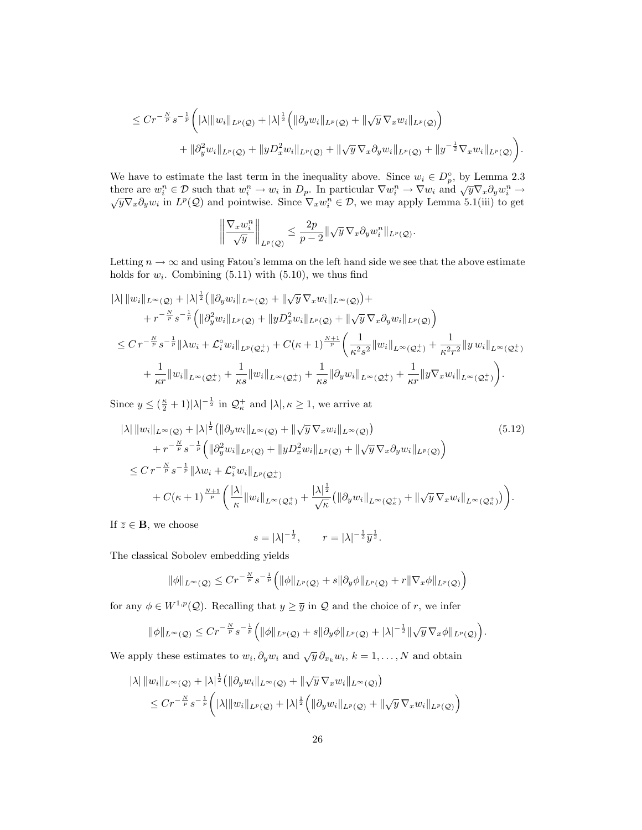$$
\leq C r^{-\frac{N}{p}} s^{-\frac{1}{p}} \left( |\lambda| \|w_i\|_{L^p(\mathcal{Q})} + |\lambda|^{\frac{1}{2}} \left( \|\partial_y w_i\|_{L^p(\mathcal{Q})} + \|\sqrt{y} \nabla_x w_i\|_{L^p(\mathcal{Q})} \right) + \|\partial_y^2 w_i\|_{L^p(\mathcal{Q})} + \|y D_x^2 w_i\|_{L^p(\mathcal{Q})} + \|\sqrt{y} \nabla_x \partial_y w_i\|_{L^p(\mathcal{Q})} + \|y^{-\frac{1}{2}} \nabla_x w_i\|_{L^p(\mathcal{Q})} \right).
$$

We have to estimate the last term in the inequality above. Since  $w_i \in D_p^{\circ}$ , by Lemma 2.3 we have to estimate the last term in the mequality above. Since  $w_i \in D_p$ , by Lemma 2.5<br>there are  $w_i^n \in \mathcal{D}$  such that  $w_i^n \to w_i$  in  $D_p$ . In particular  $\nabla w_i^n \to \nabla w_i$  and  $\sqrt{y} \nabla_x \partial_y w_i^n \to$ <br> $\sqrt{y} \nabla_x \partial_y w_i$  in  $L^p$ 

$$
\left\| \frac{\nabla_x w_i^n}{\sqrt{y}} \right\|_{L^p(\mathcal{Q})} \leq \frac{2p}{p-2} \|\sqrt{y} \nabla_x \partial_y w_i^n\|_{L^p(\mathcal{Q})}.
$$

Letting  $n \to \infty$  and using Fatou's lemma on the left hand side we see that the above estimate holds for  $w_i$ . Combining  $(5.11)$  with  $(5.10)$ , we thus find

$$
\begin{split}\n&\|\lambda\| \|w_i\|_{L^{\infty}(\mathcal{Q})} + |\lambda|^{\frac{1}{2}} \left( \|\partial_y w_i\|_{L^{\infty}(\mathcal{Q})} + \|\sqrt{y} \, \nabla_x w_i\|_{L^{\infty}(\mathcal{Q})} \right) + \\
&+ r^{-\frac{N}{p}} s^{-\frac{1}{p}} \left( \|\partial_y^2 w_i\|_{L^p(\mathcal{Q})} + \|y D_x^2 w_i\|_{L^p(\mathcal{Q})} + \|\sqrt{y} \, \nabla_x \partial_y w_i\|_{L^p(\mathcal{Q})} \right) \\
&\leq C \, r^{-\frac{N}{p}} s^{-\frac{1}{p}} \|\lambda w_i + \mathcal{L}_i^{\circ} w_i\|_{L^p(\mathcal{Q}_\kappa^+)} + C(\kappa + 1)^{\frac{N+1}{p}} \left( \frac{1}{\kappa^2 s^2} \|w_i\|_{L^{\infty}(\mathcal{Q}_\kappa^+)} + \frac{1}{\kappa^2 r^2} \|y \, w_i\|_{L^{\infty}(\mathcal{Q}_\kappa^+)} \right) \\
&+ \frac{1}{\kappa r} \|w_i\|_{L^{\infty}(\mathcal{Q}_\kappa^+)} + \frac{1}{\kappa s} \|w_i\|_{L^{\infty}(\mathcal{Q}_\kappa^+)} + \frac{1}{\kappa s} \|\partial_y w_i\|_{L^{\infty}(\mathcal{Q}_\kappa^+)} + \frac{1}{\kappa r} \|y \nabla_x w_i\|_{L^{\infty}(\mathcal{Q}_\kappa^+)} \right).\n\end{split}
$$

Since  $y \leq (\frac{\kappa}{2} + 1)|\lambda|^{-\frac{1}{2}}$  in  $\mathcal{Q}_{\kappa}^+$  and  $|\lambda|, \kappa \geq 1$ , we arrive at

$$
|\lambda| \|w_i\|_{L^{\infty}(\mathcal{Q})} + |\lambda|^{\frac{1}{2}} (\|\partial_y w_i\|_{L^{\infty}(\mathcal{Q})} + \|\sqrt{y} \nabla_x w_i\|_{L^{\infty}(\mathcal{Q})})
$$
\n
$$
+ r^{-\frac{N}{p}} s^{-\frac{1}{p}} \Big( \|\partial_y^2 w_i\|_{L^p(\mathcal{Q})} + \|yD_x^2 w_i\|_{L^p(\mathcal{Q})} + \|\sqrt{y} \nabla_x \partial_y w_i\|_{L^p(\mathcal{Q})} \Big)
$$
\n
$$
\leq C r^{-\frac{N}{p}} s^{-\frac{1}{p}} \|\lambda w_i + \mathcal{L}_i^{\circ} w_i\|_{L^p(\mathcal{Q}^+_k)}
$$
\n
$$
+ C(\kappa + 1)^{\frac{N+1}{p}} \Big( \frac{|\lambda|}{\kappa} \|w_i\|_{L^{\infty}(\mathcal{Q}^+_k)} + \frac{|\lambda|^{\frac{1}{2}}}{\sqrt{\kappa}} \Big( \|\partial_y w_i\|_{L^{\infty}(\mathcal{Q}^+_k)} + \|\sqrt{y} \nabla_x w_i\|_{L^{\infty}(\mathcal{Q}^+_k)} \Big) \Big).
$$
\n
$$
(5.12)
$$

If  $\overline{z} \in \mathbf{B}$ , we choose

$$
s = |\lambda|^{-\frac{1}{2}}, \quad r = |\lambda|^{-\frac{1}{2}} \overline{y}^{\frac{1}{2}}.
$$

The classical Sobolev embedding yields

$$
\|\phi\|_{L^{\infty}(\mathcal{Q})} \leq C r^{-\frac{N}{p}} s^{-\frac{1}{p}} \Big( \|\phi\|_{L^p(\mathcal{Q})} + s \|\partial_y \phi\|_{L^p(\mathcal{Q})} + r \|\nabla_x \phi\|_{L^p(\mathcal{Q})} \Big)
$$

for any  $\phi \in W^{1,p}(\mathcal{Q})$ . Recalling that  $y \geq \overline{y}$  in  $\mathcal Q$  and the choice of r, we infer

$$
\|\phi\|_{L^{\infty}(\mathcal{Q})}\leq C r^{-\frac{N}{p}}s^{-\frac{1}{p}}\Big(\|\phi\|_{L^{p}(\mathcal{Q})}+s\|\partial_y\phi\|_{L^{p}(\mathcal{Q})}+|\lambda|^{-\frac{1}{2}}\|\sqrt{y}\,\nabla_x\phi\|_{L^{p}(\mathcal{Q})}\Big).
$$

We apply these estimates to  $w_i, \partial_y w_i$  and  $\sqrt{y} \partial_{x_k} w_i$ ,  $k = 1, ..., N$  and obtain

$$
|\lambda| \|w_i\|_{L^{\infty}(\mathcal{Q})} + |\lambda|^{\frac{1}{2}} \left( \|\partial_y w_i\|_{L^{\infty}(\mathcal{Q})} + \|\sqrt{y} \nabla_x w_i\|_{L^{\infty}(\mathcal{Q})} \right)
$$
  

$$
\leq C r^{-\frac{N}{p}} s^{-\frac{1}{p}} \left( |\lambda| \|w_i\|_{L^p(\mathcal{Q})} + |\lambda|^{\frac{1}{2}} \left( \|\partial_y w_i\|_{L^p(\mathcal{Q})} + \|\sqrt{y} \nabla_x w_i\|_{L^p(\mathcal{Q})} \right) \right)
$$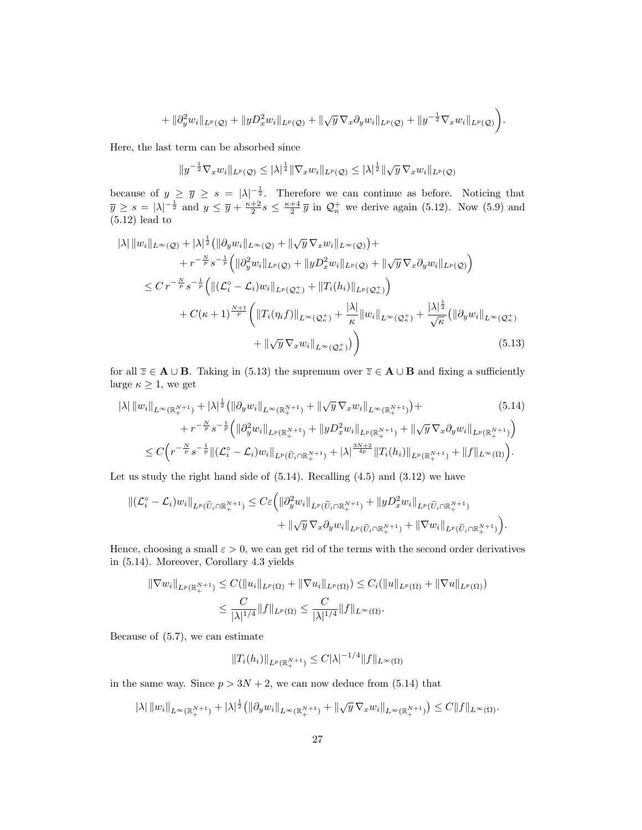$$
+ \|\partial_y^2 w_i\|_{L^p(\mathcal{Q})} + \|yD_x^2 w_i\|_{L^p(\mathcal{Q})} + \|\sqrt{y}\,\nabla_x\partial_y w_i\|_{L^p(\mathcal{Q})} + \|y^{-\frac{1}{2}}\nabla_x w_i\|_{L^p(\mathcal{Q})}\bigg).
$$

Here, the last term can be absorbed since

$$
||y^{-\frac{1}{2}}\nabla_x w_i||_{L^p(\mathcal{Q})} \leq |\lambda|^{\frac{1}{4}} ||\nabla_x w_i||_{L^p(\mathcal{Q})} \leq |\lambda|^{\frac{1}{2}} ||\sqrt{y} \nabla_x w_i||_{L^p(\mathcal{Q})}
$$

because of  $y \geq \overline{y} \geq s = |\lambda|^{-\frac{1}{2}}$ . Therefore we can continue as before. Noticing that  $\overline{y} \ge s = |\lambda|^{-\frac{1}{2}}$  and  $y \le \overline{y} + \frac{\kappa+2}{2}s \le \frac{\kappa+4}{2}\overline{y}$  in  $\mathcal{Q}_{\kappa}^+$  we derive again (5.12). Now (5.9) and (5.12) lead to

$$
|\lambda| \|w_i\|_{L^{\infty}(\mathcal{Q})} + |\lambda|^{\frac{1}{2}} (\|\partial_y w_i\|_{L^{\infty}(\mathcal{Q})} + \|\sqrt{y} \nabla_x w_i\|_{L^{\infty}(\mathcal{Q})}) +
$$
  
+  $r^{-\frac{N}{p}} s^{-\frac{1}{p}} (\|\partial_y^2 w_i\|_{L^p(\mathcal{Q})} + \|yD_x^2 w_i\|_{L^p(\mathcal{Q})} + \|\sqrt{y} \nabla_x \partial_y w_i\|_{L^p(\mathcal{Q})})$   
 $\leq C r^{-\frac{N}{p}} s^{-\frac{1}{p}} (\|(\mathcal{L}_i^{\circ} - \mathcal{L}_i) w_i\|_{L^p(\mathcal{Q}_n^+)} + \|T_i(h_i)\|_{L^p(\mathcal{Q}_n^+)})$   
+  $C(\kappa + 1)^{\frac{N+1}{p}} (\|T_i(\eta_i f)\|_{L^{\infty}(\mathcal{Q}_n^+)} + \frac{|\lambda|}{\kappa} \|w_i\|_{L^{\infty}(\mathcal{Q}_n^+)} + \frac{|\lambda|^{\frac{1}{2}}}{\sqrt{\kappa}} (\|\partial_y w_i\|_{L^{\infty}(\mathcal{Q}_n^+)} + \|\sqrt{y} \nabla_x w_i\|_{L^{\infty}(\mathcal{Q}_n^+)}))$ \n(5.13)

for all  $\overline{z} \in A \cup B$ . Taking in (5.13) the supremum over  $\overline{z} \in A \cup B$  and fixing a sufficiently large  $\kappa \geq 1$ , we get

$$
|\lambda| \|w_i\|_{L^{\infty}(\mathbb{R}^{N+1}_{+})} + |\lambda|^{\frac{1}{2}} (\|\partial_y w_i\|_{L^{\infty}(\mathbb{R}^{N+1}_{+})} + \|\sqrt{y} \nabla_x w_i\|_{L^{\infty}(\mathbb{R}^{N+1}_{+})}) +
$$
\n
$$
+ r^{-\frac{N}{p}} s^{-\frac{1}{p}} \left( \|\partial_y^2 w_i\|_{L^p(\mathbb{R}^{N+1}_{+})} + \|yD_x^2 w_i\|_{L^p(\mathbb{R}^{N+1}_{+})} + \|\sqrt{y} \nabla_x \partial_y w_i\|_{L^p(\mathbb{R}^{N+1}_{+})} \right)
$$
\n
$$
\leq C \left( r^{-\frac{N}{p}} s^{-\frac{1}{p}} \| (\mathcal{L}_i^{\circ} - \mathcal{L}_i) w_i\|_{L^p(\widetilde{U}_i \cap \mathbb{R}^{N+1}_{+})} + |\lambda|^{\frac{3N+2}{4p}} \|T_i(h_i)\|_{L^p(\mathbb{R}^{N+1}_{+})} + \|f\|_{L^{\infty}(\Omega)} \right).
$$
\n(5.14)

Let us study the right hand side of (5.14). Recalling (4.5) and (3.12) we have

$$
\begin{split} \left\| (\mathcal{L}_{i}^{\circ} - \mathcal{L}_{i}) w_{i} \right\|_{L^{p}(\widetilde{U}_{i} \cap \mathbb{R}_{+}^{N+1})} &\leq C \varepsilon \Big( \left\| \partial_{y}^{2} w_{i} \right\|_{L^{p}(\widetilde{U}_{i} \cap \mathbb{R}_{+}^{N+1})} + \left\| yD_{x}^{2} w_{i} \right\|_{L^{p}(\widetilde{U}_{i} \cap \mathbb{R}_{+}^{N+1})} \\ &+ \left\| \sqrt{y} \, \nabla_{x} \partial_{y} w_{i} \right\|_{L^{p}(\widetilde{U}_{i} \cap \mathbb{R}_{+}^{N+1})} + \left\| \nabla w_{i} \right\|_{L^{p}(\widetilde{U}_{i} \cap \mathbb{R}_{+}^{N+1})} \Big). \end{split}
$$

Hence, choosing a small  $\varepsilon > 0$ , we can get rid of the terms with the second order derivatives in (5.14). Moreover, Corollary 4.3 yields

$$
\|\nabla w_i\|_{L^p(\mathbb{R}^{N+1}_+)} \leq C(\|u_i\|_{L^p(\Omega)} + \|\nabla u_i\|_{L^p(\Omega)}) \leq C_i(\|u\|_{L^p(\Omega)} + \|\nabla u\|_{L^p(\Omega)})
$$
  

$$
\leq \frac{C}{|\lambda|^{1/4}} \|f\|_{L^p(\Omega)} \leq \frac{C}{|\lambda|^{1/4}} \|f\|_{L^\infty(\Omega)}.
$$

Because of (5.7), we can estimate

$$
||T_i(h_i)||_{L^p(\mathbb{R}^{N+1}_+)} \leq C|\lambda|^{-1/4}||f||_{L^{\infty}(\Omega)}
$$

in the same way. Since  $p > 3N + 2$ , we can now deduce from (5.14) that

$$
|\lambda| \|w_i\|_{L^{\infty}(\mathbb{R}^{N+1}_+)} + |\lambda|^{\frac{1}{2}} (\|\partial_y w_i\|_{L^{\infty}(\mathbb{R}^{N+1}_+)} + \|\sqrt{y}\nabla_x w_i\|_{L^{\infty}(\mathbb{R}^{N+1}_+)} ) \leq C \|f\|_{L^{\infty}(\Omega)}.
$$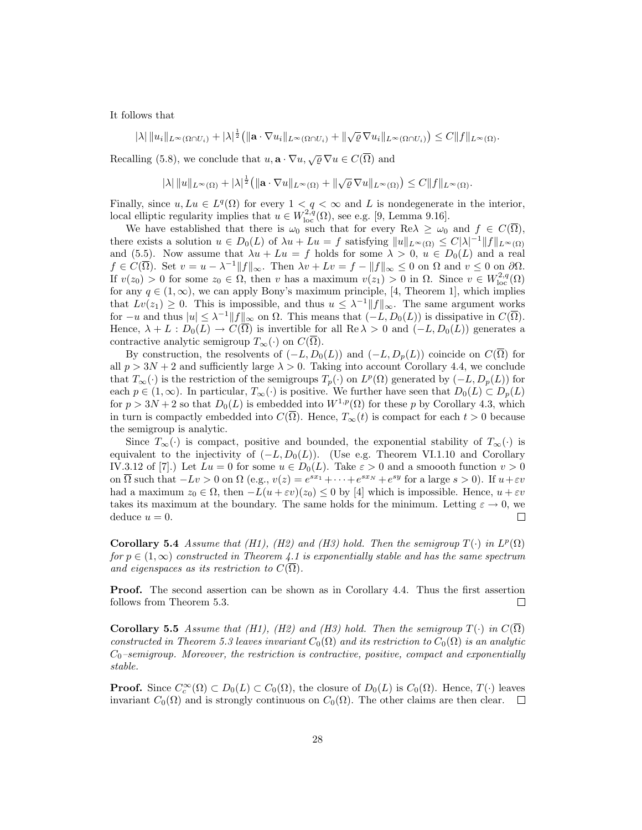It follows that

$$
|\lambda| \|u_i\|_{L^{\infty}(\Omega \cap U_i)} + |\lambda|^{\frac{1}{2}} (\|\mathbf{a} \cdot \nabla u_i\|_{L^{\infty}(\Omega \cap U_i)} + \|\sqrt{\varrho} \nabla u_i\|_{L^{\infty}(\Omega \cap U_i)}) \leq C \|f\|_{L^{\infty}(\Omega)}.
$$

Recalling (5.8), we conclude that  $u, \mathbf{a} \cdot \nabla u, \sqrt{\varrho} \nabla u \in C(\overline{\Omega})$  and

$$
|\lambda| \|u\|_{L^{\infty}(\Omega)} + |\lambda|^{\frac{1}{2}} (\|\mathbf{a} \cdot \nabla u\|_{L^{\infty}(\Omega)} + \|\sqrt{\varrho} \nabla u\|_{L^{\infty}(\Omega)}) \leq C \|f\|_{L^{\infty}(\Omega)}.
$$

Finally, since  $u, Lu \in L^q(\Omega)$  for every  $1 < q < \infty$  and L is nondegenerate in the interior, local elliptic regularity implies that  $u \in W^{2,q}_{loc}(\Omega)$ , see e.g. [9, Lemma 9.16].

We have established that there is  $\omega_0$  such that for every Re $\lambda \geq \omega_0$  and  $f \in C(\Omega)$ , there exists a solution  $u \in D_0(L)$  of  $\lambda u + Lu = f$  satisfying  $||u||_{L^{\infty}(\Omega)} \leq C|\lambda|^{-1}||f||_{L^{\infty}(\Omega)}$ and (5.5). Now assume that  $\lambda u + Lu = f$  holds for some  $\lambda > 0$ ,  $u \in D_0(L)$  and a real  $f \in C(\overline{\Omega})$ . Set  $v = u - \lambda^{-1} ||f||_{\infty}$ . Then  $\lambda v + Lv = f - ||f||_{\infty} \leq 0$  on  $\Omega$  and  $v \leq 0$  on  $\partial\Omega$ . If  $v(z_0) > 0$  for some  $z_0 \in \Omega$ , then v has a maximum  $v(z_1) > 0$  in  $\Omega$ . Since  $v \in W^{2,q}_{loc}(\Omega)$ for any  $q \in (1,\infty)$ , we can apply Bony's maximum principle, [4, Theorem 1], which implies that  $Lv(z_1) \geq 0$ . This is impossible, and thus  $u \leq \lambda^{-1} ||f||_{\infty}$ . The same argument works for  $-u$  and thus  $|u| \leq \lambda^{-1} ||f||_{\infty}$  on  $\Omega$ . This means that  $(-L, D_0(L))$  is dissipative in  $C(\overline{\Omega})$ . Hence,  $\lambda + L : D_0(L) \to C(\overline{\Omega})$  is invertible for all Re  $\lambda > 0$  and  $(-L, D_0(L))$  generates a contractive analytic semigroup  $T_{\infty}(\cdot)$  on  $C(\overline{\Omega})$ .

By construction, the resolvents of  $(-L, D_0(L))$  and  $(-L, D_p(L))$  coincide on  $C(\overline{\Omega})$  for all  $p > 3N + 2$  and sufficiently large  $\lambda > 0$ . Taking into account Corollary 4.4, we conclude that  $T_{\infty}(\cdot)$  is the restriction of the semigroups  $T_p(\cdot)$  on  $L^p(\Omega)$  generated by  $(-L, D_p(L))$  for each  $p \in (1,\infty)$ . In particular,  $T_{\infty}(\cdot)$  is positive. We further have seen that  $D_0(L) \subset D_p(L)$ for  $p > 3N + 2$  so that  $D_0(L)$  is embedded into  $W^{1,p}(\Omega)$  for these p by Corollary 4.3, which in turn is compactly embedded into  $C(\Omega)$ . Hence,  $T_{\infty}(t)$  is compact for each  $t > 0$  because the semigroup is analytic.

Since  $T_{\infty}(\cdot)$  is compact, positive and bounded, the exponential stability of  $T_{\infty}(\cdot)$  is equivalent to the injectivity of  $(-L, D_0(L))$ . (Use e.g. Theorem VI.1.10 and Corollary IV.3.12 of [7].) Let  $Lu = 0$  for some  $u \in D_0(L)$ . Take  $\varepsilon > 0$  and a smoooth function  $v > 0$ on  $\overline{\Omega}$  such that  $-Lv > 0$  on  $\Omega$  (e.g.,  $v(z) = e^{sx_1} + \cdots + e^{sx_N} + e^{sy}$  for a large  $s > 0$ ). If  $u + \varepsilon v$ had a maximum  $z_0 \in \Omega$ , then  $-L(u + \varepsilon v)(z_0) \leq 0$  by [4] which is impossible. Hence,  $u + \varepsilon v$ takes its maximum at the boundary. The same holds for the minimum. Letting  $\varepsilon \to 0$ , we deduce  $u = 0$ .  $\Box$ 

Corollary 5.4 Assume that (H1), (H2) and (H3) hold. Then the semigroup  $T(\cdot)$  in  $L^p(\Omega)$ for  $p \in (1,\infty)$  constructed in Theorem 4.1 is exponentially stable and has the same spectrum and eigenspaces as its restriction to  $C(\overline{\Omega})$ .

Proof. The second assertion can be shown as in Corollary 4.4. Thus the first assertion follows from Theorem 5.3. □

Corollary 5.5 Assume that (H1), (H2) and (H3) hold. Then the semigroup  $T(\cdot)$  in  $C(\Omega)$ constructed in Theorem 5.3 leaves invariant  $C_0(\Omega)$  and its restriction to  $C_0(\Omega)$  is an analytic  $C_0$ –semigroup. Moreover, the restriction is contractive, positive, compact and exponentially stable.

**Proof.** Since  $C_c^{\infty}(\Omega) \subset D_0(L) \subset C_0(\Omega)$ , the closure of  $D_0(L)$  is  $C_0(\Omega)$ . Hence,  $T(\cdot)$  leaves invariant  $C_0(\Omega)$  and is strongly continuous on  $C_0(\Omega)$ . The other claims are then clear.  $\square$